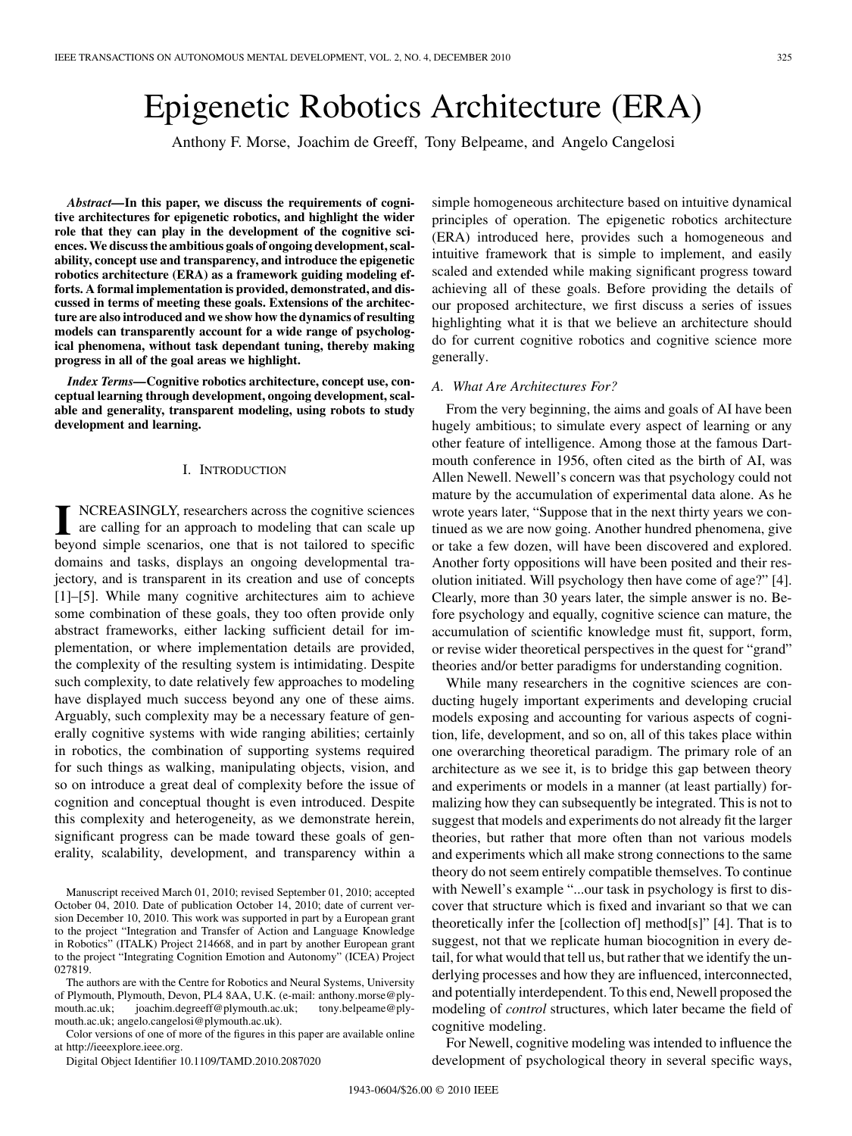# Epigenetic Robotics Architecture (ERA)

Anthony F. Morse, Joachim de Greeff, Tony Belpeame, and Angelo Cangelosi

*Abstract—***In this paper, we discuss the requirements of cognitive architectures for epigenetic robotics, and highlight the wider role that they can play in the development of the cognitive sciences. We discuss the ambitious goals of ongoing development, scalability, concept use and transparency, and introduce the epigenetic robotics architecture (ERA) as a framework guiding modeling efforts. A formal implementation is provided, demonstrated, and discussed in terms of meeting these goals. Extensions of the architecture are also introduced and we show how the dynamics of resulting models can transparently account for a wide range of psychological phenomena, without task dependant tuning, thereby making progress in all of the goal areas we highlight.**

*Index Terms—***Cognitive robotics architecture, concept use, conceptual learning through development, ongoing development, scalable and generality, transparent modeling, using robots to study development and learning.**

## I. INTRODUCTION

**I** NCREASINGLY, researchers across the cognitive sciences are calling for an approach to modeling that can scale up beyond simple scenarios, one that is not tailored to specific domains and tasks, displays an ongoing developmental trajectory, and is transparent in its creation and use of concepts [1]–[5]. While many cognitive architectures aim to achieve some combination of these goals, they too often provide only abstract frameworks, either lacking sufficient detail for implementation, or where implementation details are provided, the complexity of the resulting system is intimidating. Despite such complexity, to date relatively few approaches to modeling have displayed much success beyond any one of these aims. Arguably, such complexity may be a necessary feature of generally cognitive systems with wide ranging abilities; certainly in robotics, the combination of supporting systems required for such things as walking, manipulating objects, vision, and so on introduce a great deal of complexity before the issue of cognition and conceptual thought is even introduced. Despite this complexity and heterogeneity, as we demonstrate herein, significant progress can be made toward these goals of generality, scalability, development, and transparency within a

Manuscript received March 01, 2010; revised September 01, 2010; accepted October 04, 2010. Date of publication October 14, 2010; date of current version December 10, 2010. This work was supported in part by a European grant to the project "Integration and Transfer of Action and Language Knowledge in Robotics" (ITALK) Project 214668, and in part by another European grant to the project "Integrating Cognition Emotion and Autonomy" (ICEA) Project 027819.

The authors are with the Centre for Robotics and Neural Systems, University of Plymouth, Plymouth, Devon, PL4 8AA, U.K. (e-mail: anthony.morse@plymouth.ac.uk; joachim.degreeff@plymouth.ac.uk; tony.belpeame@plymouth.ac.uk; angelo.cangelosi@plymouth.ac.uk).

Color versions of one of more of the figures in this paper are available online at http://ieeexplore.ieee.org.

Digital Object Identifier 10.1109/TAMD.2010.2087020

simple homogeneous architecture based on intuitive dynamical principles of operation. The epigenetic robotics architecture (ERA) introduced here, provides such a homogeneous and intuitive framework that is simple to implement, and easily scaled and extended while making significant progress toward achieving all of these goals. Before providing the details of our proposed architecture, we first discuss a series of issues highlighting what it is that we believe an architecture should do for current cognitive robotics and cognitive science more generally.

# *A. What Are Architectures For?*

From the very beginning, the aims and goals of AI have been hugely ambitious; to simulate every aspect of learning or any other feature of intelligence. Among those at the famous Dartmouth conference in 1956, often cited as the birth of AI, was Allen Newell. Newell's concern was that psychology could not mature by the accumulation of experimental data alone. As he wrote years later, "Suppose that in the next thirty years we continued as we are now going. Another hundred phenomena, give or take a few dozen, will have been discovered and explored. Another forty oppositions will have been posited and their resolution initiated. Will psychology then have come of age?" [4]. Clearly, more than 30 years later, the simple answer is no. Before psychology and equally, cognitive science can mature, the accumulation of scientific knowledge must fit, support, form, or revise wider theoretical perspectives in the quest for "grand" theories and/or better paradigms for understanding cognition.

While many researchers in the cognitive sciences are conducting hugely important experiments and developing crucial models exposing and accounting for various aspects of cognition, life, development, and so on, all of this takes place within one overarching theoretical paradigm. The primary role of an architecture as we see it, is to bridge this gap between theory and experiments or models in a manner (at least partially) formalizing how they can subsequently be integrated. This is not to suggest that models and experiments do not already fit the larger theories, but rather that more often than not various models and experiments which all make strong connections to the same theory do not seem entirely compatible themselves. To continue with Newell's example "...our task in psychology is first to discover that structure which is fixed and invariant so that we can theoretically infer the [collection of] method[s]" [4]. That is to suggest, not that we replicate human biocognition in every detail, for what would that tell us, but rather that we identify the underlying processes and how they are influenced, interconnected, and potentially interdependent. To this end, Newell proposed the modeling of *control* structures, which later became the field of cognitive modeling.

For Newell, cognitive modeling was intended to influence the development of psychological theory in several specific ways,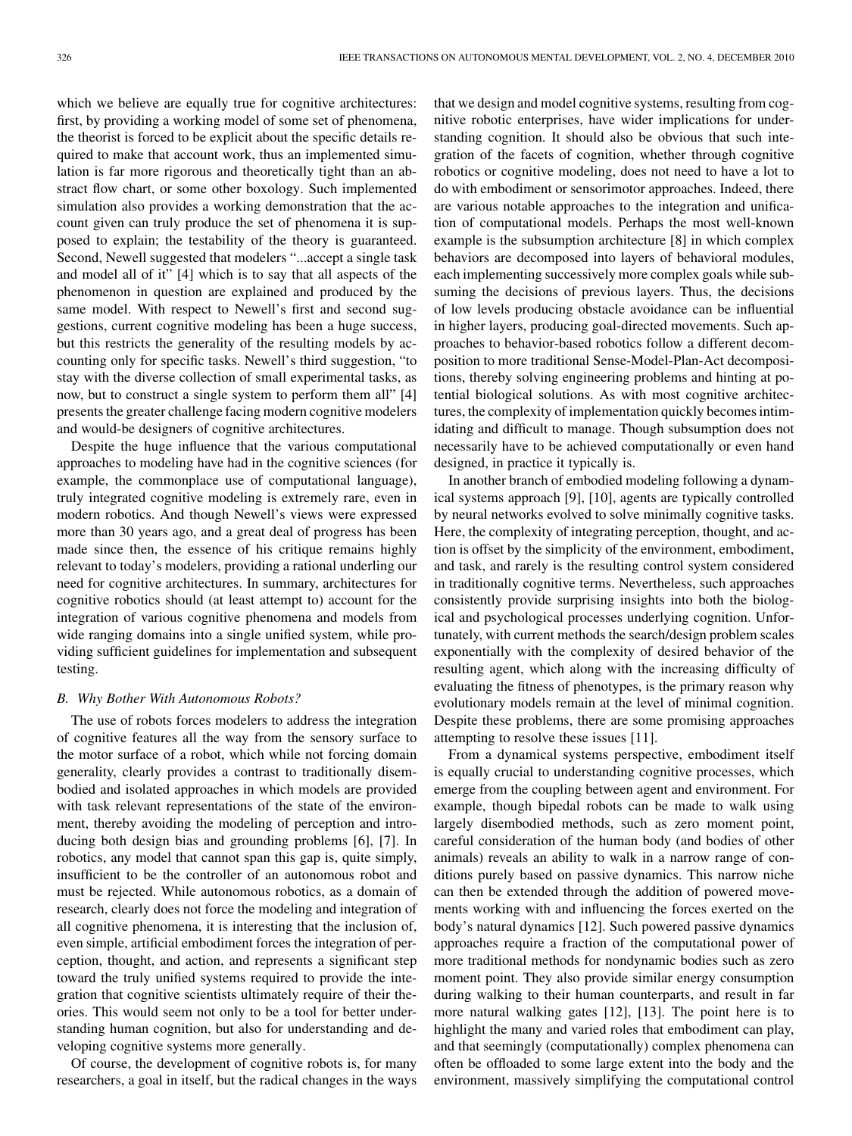which we believe are equally true for cognitive architectures: first, by providing a working model of some set of phenomena, the theorist is forced to be explicit about the specific details required to make that account work, thus an implemented simulation is far more rigorous and theoretically tight than an abstract flow chart, or some other boxology. Such implemented simulation also provides a working demonstration that the account given can truly produce the set of phenomena it is supposed to explain; the testability of the theory is guaranteed. Second, Newell suggested that modelers "...accept a single task and model all of it" [4] which is to say that all aspects of the phenomenon in question are explained and produced by the same model. With respect to Newell's first and second suggestions, current cognitive modeling has been a huge success, but this restricts the generality of the resulting models by accounting only for specific tasks. Newell's third suggestion, "to stay with the diverse collection of small experimental tasks, as now, but to construct a single system to perform them all" [4] presents the greater challenge facing modern cognitive modelers and would-be designers of cognitive architectures.

Despite the huge influence that the various computational approaches to modeling have had in the cognitive sciences (for example, the commonplace use of computational language), truly integrated cognitive modeling is extremely rare, even in modern robotics. And though Newell's views were expressed more than 30 years ago, and a great deal of progress has been made since then, the essence of his critique remains highly relevant to today's modelers, providing a rational underling our need for cognitive architectures. In summary, architectures for cognitive robotics should (at least attempt to) account for the integration of various cognitive phenomena and models from wide ranging domains into a single unified system, while providing sufficient guidelines for implementation and subsequent testing.

## *B. Why Bother With Autonomous Robots?*

The use of robots forces modelers to address the integration of cognitive features all the way from the sensory surface to the motor surface of a robot, which while not forcing domain generality, clearly provides a contrast to traditionally disembodied and isolated approaches in which models are provided with task relevant representations of the state of the environment, thereby avoiding the modeling of perception and introducing both design bias and grounding problems [6], [7]. In robotics, any model that cannot span this gap is, quite simply, insufficient to be the controller of an autonomous robot and must be rejected. While autonomous robotics, as a domain of research, clearly does not force the modeling and integration of all cognitive phenomena, it is interesting that the inclusion of, even simple, artificial embodiment forces the integration of perception, thought, and action, and represents a significant step toward the truly unified systems required to provide the integration that cognitive scientists ultimately require of their theories. This would seem not only to be a tool for better understanding human cognition, but also for understanding and developing cognitive systems more generally.

Of course, the development of cognitive robots is, for many researchers, a goal in itself, but the radical changes in the ways that we design and model cognitive systems, resulting from cognitive robotic enterprises, have wider implications for understanding cognition. It should also be obvious that such integration of the facets of cognition, whether through cognitive robotics or cognitive modeling, does not need to have a lot to do with embodiment or sensorimotor approaches. Indeed, there are various notable approaches to the integration and unification of computational models. Perhaps the most well-known example is the subsumption architecture [8] in which complex behaviors are decomposed into layers of behavioral modules, each implementing successively more complex goals while subsuming the decisions of previous layers. Thus, the decisions of low levels producing obstacle avoidance can be influential in higher layers, producing goal-directed movements. Such approaches to behavior-based robotics follow a different decomposition to more traditional Sense-Model-Plan-Act decompositions, thereby solving engineering problems and hinting at potential biological solutions. As with most cognitive architectures, the complexity of implementation quickly becomes intimidating and difficult to manage. Though subsumption does not necessarily have to be achieved computationally or even hand designed, in practice it typically is.

In another branch of embodied modeling following a dynamical systems approach [9], [10], agents are typically controlled by neural networks evolved to solve minimally cognitive tasks. Here, the complexity of integrating perception, thought, and action is offset by the simplicity of the environment, embodiment, and task, and rarely is the resulting control system considered in traditionally cognitive terms. Nevertheless, such approaches consistently provide surprising insights into both the biological and psychological processes underlying cognition. Unfortunately, with current methods the search/design problem scales exponentially with the complexity of desired behavior of the resulting agent, which along with the increasing difficulty of evaluating the fitness of phenotypes, is the primary reason why evolutionary models remain at the level of minimal cognition. Despite these problems, there are some promising approaches attempting to resolve these issues [11].

From a dynamical systems perspective, embodiment itself is equally crucial to understanding cognitive processes, which emerge from the coupling between agent and environment. For example, though bipedal robots can be made to walk using largely disembodied methods, such as zero moment point, careful consideration of the human body (and bodies of other animals) reveals an ability to walk in a narrow range of conditions purely based on passive dynamics. This narrow niche can then be extended through the addition of powered movements working with and influencing the forces exerted on the body's natural dynamics [12]. Such powered passive dynamics approaches require a fraction of the computational power of more traditional methods for nondynamic bodies such as zero moment point. They also provide similar energy consumption during walking to their human counterparts, and result in far more natural walking gates [12], [13]. The point here is to highlight the many and varied roles that embodiment can play, and that seemingly (computationally) complex phenomena can often be offloaded to some large extent into the body and the environment, massively simplifying the computational control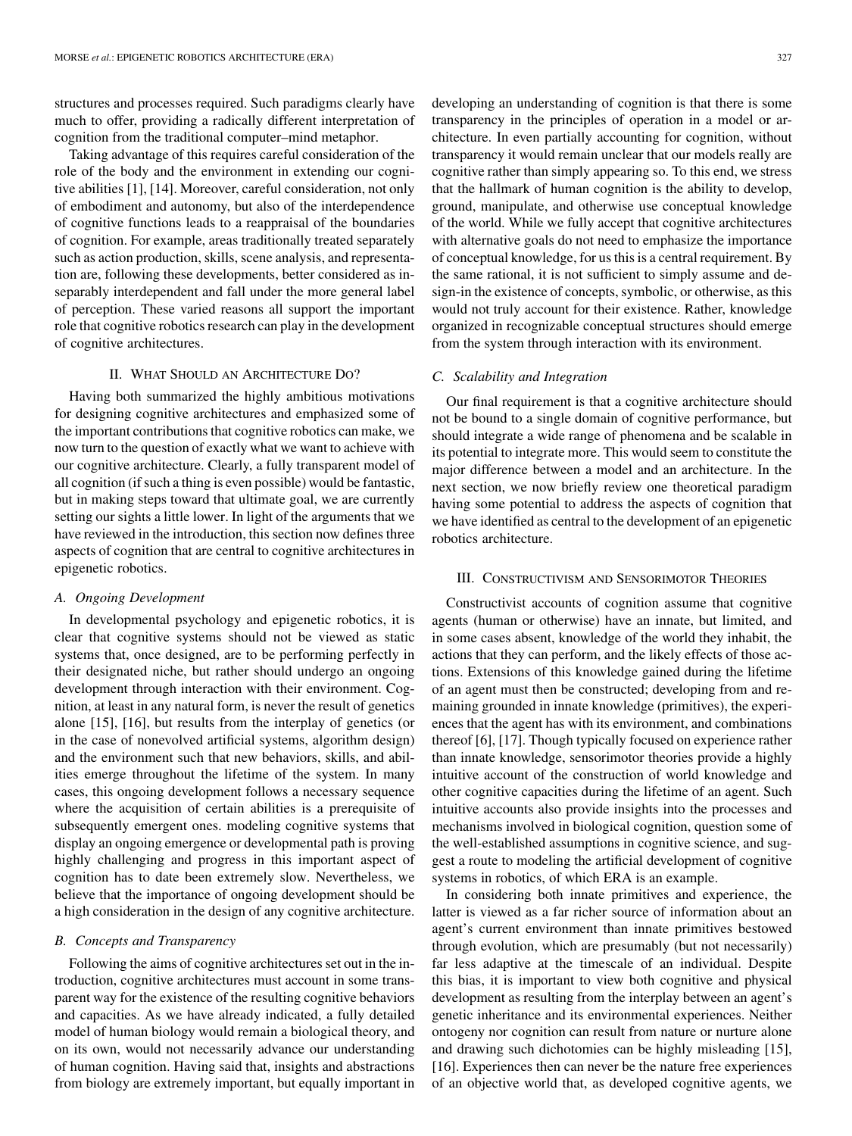structures and processes required. Such paradigms clearly have much to offer, providing a radically different interpretation of cognition from the traditional computer–mind metaphor.

Taking advantage of this requires careful consideration of the role of the body and the environment in extending our cognitive abilities [1], [14]. Moreover, careful consideration, not only of embodiment and autonomy, but also of the interdependence of cognitive functions leads to a reappraisal of the boundaries of cognition. For example, areas traditionally treated separately such as action production, skills, scene analysis, and representation are, following these developments, better considered as inseparably interdependent and fall under the more general label of perception. These varied reasons all support the important role that cognitive robotics research can play in the development of cognitive architectures.

## II. WHAT SHOULD AN ARCHITECTURE DO?

Having both summarized the highly ambitious motivations for designing cognitive architectures and emphasized some of the important contributions that cognitive robotics can make, we now turn to the question of exactly what we want to achieve with our cognitive architecture. Clearly, a fully transparent model of all cognition (if such a thing is even possible) would be fantastic, but in making steps toward that ultimate goal, we are currently setting our sights a little lower. In light of the arguments that we have reviewed in the introduction, this section now defines three aspects of cognition that are central to cognitive architectures in epigenetic robotics.

## *A. Ongoing Development*

In developmental psychology and epigenetic robotics, it is clear that cognitive systems should not be viewed as static systems that, once designed, are to be performing perfectly in their designated niche, but rather should undergo an ongoing development through interaction with their environment. Cognition, at least in any natural form, is never the result of genetics alone [15], [16], but results from the interplay of genetics (or in the case of nonevolved artificial systems, algorithm design) and the environment such that new behaviors, skills, and abilities emerge throughout the lifetime of the system. In many cases, this ongoing development follows a necessary sequence where the acquisition of certain abilities is a prerequisite of subsequently emergent ones. modeling cognitive systems that display an ongoing emergence or developmental path is proving highly challenging and progress in this important aspect of cognition has to date been extremely slow. Nevertheless, we believe that the importance of ongoing development should be a high consideration in the design of any cognitive architecture.

## *B. Concepts and Transparency*

Following the aims of cognitive architectures set out in the introduction, cognitive architectures must account in some transparent way for the existence of the resulting cognitive behaviors and capacities. As we have already indicated, a fully detailed model of human biology would remain a biological theory, and on its own, would not necessarily advance our understanding of human cognition. Having said that, insights and abstractions from biology are extremely important, but equally important in

developing an understanding of cognition is that there is some transparency in the principles of operation in a model or architecture. In even partially accounting for cognition, without transparency it would remain unclear that our models really are cognitive rather than simply appearing so. To this end, we stress that the hallmark of human cognition is the ability to develop, ground, manipulate, and otherwise use conceptual knowledge of the world. While we fully accept that cognitive architectures with alternative goals do not need to emphasize the importance of conceptual knowledge, for us this is a central requirement. By the same rational, it is not sufficient to simply assume and design-in the existence of concepts, symbolic, or otherwise, as this would not truly account for their existence. Rather, knowledge organized in recognizable conceptual structures should emerge from the system through interaction with its environment.

# *C. Scalability and Integration*

Our final requirement is that a cognitive architecture should not be bound to a single domain of cognitive performance, but should integrate a wide range of phenomena and be scalable in its potential to integrate more. This would seem to constitute the major difference between a model and an architecture. In the next section, we now briefly review one theoretical paradigm having some potential to address the aspects of cognition that we have identified as central to the development of an epigenetic robotics architecture.

## III. CONSTRUCTIVISM AND SENSORIMOTOR THEORIES

Constructivist accounts of cognition assume that cognitive agents (human or otherwise) have an innate, but limited, and in some cases absent, knowledge of the world they inhabit, the actions that they can perform, and the likely effects of those actions. Extensions of this knowledge gained during the lifetime of an agent must then be constructed; developing from and remaining grounded in innate knowledge (primitives), the experiences that the agent has with its environment, and combinations thereof [6], [17]. Though typically focused on experience rather than innate knowledge, sensorimotor theories provide a highly intuitive account of the construction of world knowledge and other cognitive capacities during the lifetime of an agent. Such intuitive accounts also provide insights into the processes and mechanisms involved in biological cognition, question some of the well-established assumptions in cognitive science, and suggest a route to modeling the artificial development of cognitive systems in robotics, of which ERA is an example.

In considering both innate primitives and experience, the latter is viewed as a far richer source of information about an agent's current environment than innate primitives bestowed through evolution, which are presumably (but not necessarily) far less adaptive at the timescale of an individual. Despite this bias, it is important to view both cognitive and physical development as resulting from the interplay between an agent's genetic inheritance and its environmental experiences. Neither ontogeny nor cognition can result from nature or nurture alone and drawing such dichotomies can be highly misleading [15], [16]. Experiences then can never be the nature free experiences of an objective world that, as developed cognitive agents, we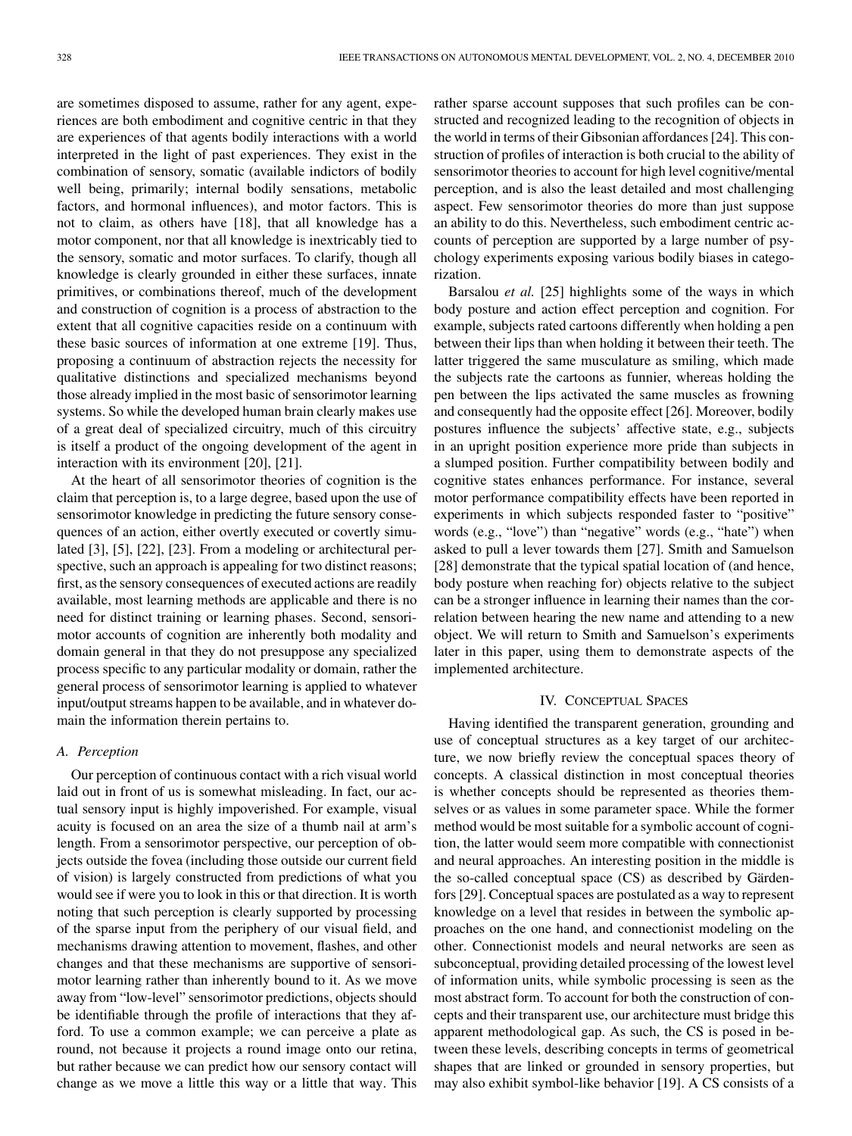are sometimes disposed to assume, rather for any agent, experiences are both embodiment and cognitive centric in that they are experiences of that agents bodily interactions with a world interpreted in the light of past experiences. They exist in the combination of sensory, somatic (available indictors of bodily well being, primarily; internal bodily sensations, metabolic factors, and hormonal influences), and motor factors. This is not to claim, as others have [18], that all knowledge has a motor component, nor that all knowledge is inextricably tied to the sensory, somatic and motor surfaces. To clarify, though all knowledge is clearly grounded in either these surfaces, innate primitives, or combinations thereof, much of the development and construction of cognition is a process of abstraction to the extent that all cognitive capacities reside on a continuum with these basic sources of information at one extreme [19]. Thus, proposing a continuum of abstraction rejects the necessity for qualitative distinctions and specialized mechanisms beyond those already implied in the most basic of sensorimotor learning systems. So while the developed human brain clearly makes use of a great deal of specialized circuitry, much of this circuitry is itself a product of the ongoing development of the agent in interaction with its environment [20], [21].

At the heart of all sensorimotor theories of cognition is the claim that perception is, to a large degree, based upon the use of sensorimotor knowledge in predicting the future sensory consequences of an action, either overtly executed or covertly simulated [3], [5], [22], [23]. From a modeling or architectural perspective, such an approach is appealing for two distinct reasons; first, as the sensory consequences of executed actions are readily available, most learning methods are applicable and there is no need for distinct training or learning phases. Second, sensorimotor accounts of cognition are inherently both modality and domain general in that they do not presuppose any specialized process specific to any particular modality or domain, rather the general process of sensorimotor learning is applied to whatever input/output streams happen to be available, and in whatever domain the information therein pertains to.

## *A. Perception*

Our perception of continuous contact with a rich visual world laid out in front of us is somewhat misleading. In fact, our actual sensory input is highly impoverished. For example, visual acuity is focused on an area the size of a thumb nail at arm's length. From a sensorimotor perspective, our perception of objects outside the fovea (including those outside our current field of vision) is largely constructed from predictions of what you would see if were you to look in this or that direction. It is worth noting that such perception is clearly supported by processing of the sparse input from the periphery of our visual field, and mechanisms drawing attention to movement, flashes, and other changes and that these mechanisms are supportive of sensorimotor learning rather than inherently bound to it. As we move away from "low-level" sensorimotor predictions, objects should be identifiable through the profile of interactions that they afford. To use a common example; we can perceive a plate as round, not because it projects a round image onto our retina, but rather because we can predict how our sensory contact will change as we move a little this way or a little that way. This

rather sparse account supposes that such profiles can be constructed and recognized leading to the recognition of objects in the world in terms of their Gibsonian affordances [24]. This construction of profiles of interaction is both crucial to the ability of sensorimotor theories to account for high level cognitive/mental perception, and is also the least detailed and most challenging aspect. Few sensorimotor theories do more than just suppose an ability to do this. Nevertheless, such embodiment centric accounts of perception are supported by a large number of psychology experiments exposing various bodily biases in categorization.

Barsalou *et al.* [25] highlights some of the ways in which body posture and action effect perception and cognition. For example, subjects rated cartoons differently when holding a pen between their lips than when holding it between their teeth. The latter triggered the same musculature as smiling, which made the subjects rate the cartoons as funnier, whereas holding the pen between the lips activated the same muscles as frowning and consequently had the opposite effect [26]. Moreover, bodily postures influence the subjects' affective state, e.g., subjects in an upright position experience more pride than subjects in a slumped position. Further compatibility between bodily and cognitive states enhances performance. For instance, several motor performance compatibility effects have been reported in experiments in which subjects responded faster to "positive" words (e.g., "love") than "negative" words (e.g., "hate") when asked to pull a lever towards them [27]. Smith and Samuelson [28] demonstrate that the typical spatial location of (and hence, body posture when reaching for) objects relative to the subject can be a stronger influence in learning their names than the correlation between hearing the new name and attending to a new object. We will return to Smith and Samuelson's experiments later in this paper, using them to demonstrate aspects of the implemented architecture.

## IV. CONCEPTUAL SPACES

Having identified the transparent generation, grounding and use of conceptual structures as a key target of our architecture, we now briefly review the conceptual spaces theory of concepts. A classical distinction in most conceptual theories is whether concepts should be represented as theories themselves or as values in some parameter space. While the former method would be most suitable for a symbolic account of cognition, the latter would seem more compatible with connectionist and neural approaches. An interesting position in the middle is the so-called conceptual space (CS) as described by Gärdenfors [29]. Conceptual spaces are postulated as a way to represent knowledge on a level that resides in between the symbolic approaches on the one hand, and connectionist modeling on the other. Connectionist models and neural networks are seen as subconceptual, providing detailed processing of the lowest level of information units, while symbolic processing is seen as the most abstract form. To account for both the construction of concepts and their transparent use, our architecture must bridge this apparent methodological gap. As such, the CS is posed in between these levels, describing concepts in terms of geometrical shapes that are linked or grounded in sensory properties, but may also exhibit symbol-like behavior [19]. A CS consists of a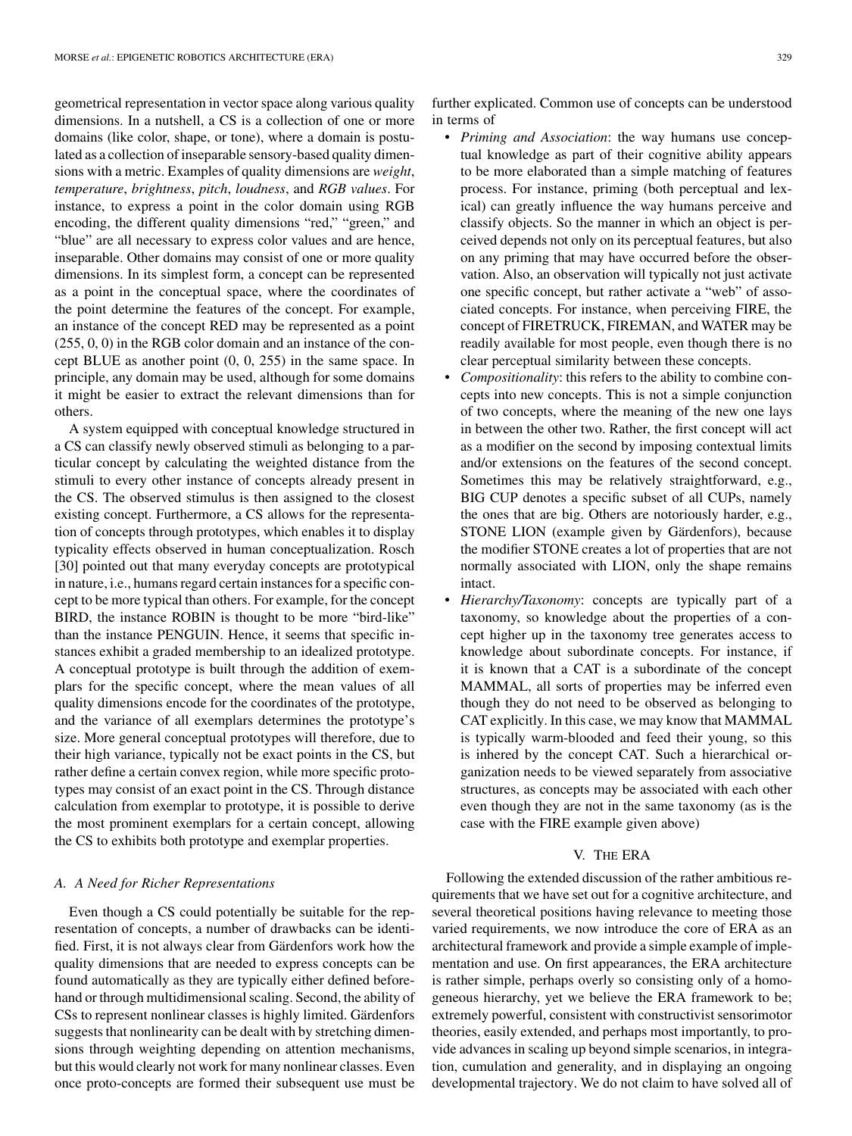geometrical representation in vector space along various quality dimensions. In a nutshell, a CS is a collection of one or more domains (like color, shape, or tone), where a domain is postulated as a collection of inseparable sensory-based quality dimensions with a metric. Examples of quality dimensions are *weight*, *temperature*, *brightness*, *pitch*, *loudness*, and *RGB values*. For instance, to express a point in the color domain using RGB encoding, the different quality dimensions "red," "green," and "blue" are all necessary to express color values and are hence, inseparable. Other domains may consist of one or more quality dimensions. In its simplest form, a concept can be represented as a point in the conceptual space, where the coordinates of the point determine the features of the concept. For example, an instance of the concept RED may be represented as a point (255, 0, 0) in the RGB color domain and an instance of the concept BLUE as another point (0, 0, 255) in the same space. In principle, any domain may be used, although for some domains it might be easier to extract the relevant dimensions than for others.

A system equipped with conceptual knowledge structured in a CS can classify newly observed stimuli as belonging to a particular concept by calculating the weighted distance from the stimuli to every other instance of concepts already present in the CS. The observed stimulus is then assigned to the closest existing concept. Furthermore, a CS allows for the representation of concepts through prototypes, which enables it to display typicality effects observed in human conceptualization. Rosch [30] pointed out that many everyday concepts are prototypical in nature, i.e., humans regard certain instances for a specific concept to be more typical than others. For example, for the concept BIRD, the instance ROBIN is thought to be more "bird-like" than the instance PENGUIN. Hence, it seems that specific instances exhibit a graded membership to an idealized prototype. A conceptual prototype is built through the addition of exemplars for the specific concept, where the mean values of all quality dimensions encode for the coordinates of the prototype, and the variance of all exemplars determines the prototype's size. More general conceptual prototypes will therefore, due to their high variance, typically not be exact points in the CS, but rather define a certain convex region, while more specific prototypes may consist of an exact point in the CS. Through distance calculation from exemplar to prototype, it is possible to derive the most prominent exemplars for a certain concept, allowing the CS to exhibits both prototype and exemplar properties.

## *A. A Need for Richer Representations*

Even though a CS could potentially be suitable for the representation of concepts, a number of drawbacks can be identified. First, it is not always clear from Gärdenfors work how the quality dimensions that are needed to express concepts can be found automatically as they are typically either defined beforehand or through multidimensional scaling. Second, the ability of CSs to represent nonlinear classes is highly limited. Gärdenfors suggests that nonlinearity can be dealt with by stretching dimensions through weighting depending on attention mechanisms, but this would clearly not work for many nonlinear classes. Even once proto-concepts are formed their subsequent use must be

further explicated. Common use of concepts can be understood in terms of

- *Priming and Association*: the way humans use conceptual knowledge as part of their cognitive ability appears to be more elaborated than a simple matching of features process. For instance, priming (both perceptual and lexical) can greatly influence the way humans perceive and classify objects. So the manner in which an object is perceived depends not only on its perceptual features, but also on any priming that may have occurred before the observation. Also, an observation will typically not just activate one specific concept, but rather activate a "web" of associated concepts. For instance, when perceiving FIRE, the concept of FIRETRUCK, FIREMAN, and WATER may be readily available for most people, even though there is no clear perceptual similarity between these concepts.
- *Compositionality*: this refers to the ability to combine concepts into new concepts. This is not a simple conjunction of two concepts, where the meaning of the new one lays in between the other two. Rather, the first concept will act as a modifier on the second by imposing contextual limits and/or extensions on the features of the second concept. Sometimes this may be relatively straightforward, e.g., BIG CUP denotes a specific subset of all CUPs, namely the ones that are big. Others are notoriously harder, e.g., STONE LION (example given by Gärdenfors), because the modifier STONE creates a lot of properties that are not normally associated with LION, only the shape remains intact.
- *Hierarchy/Taxonomy*: concepts are typically part of a taxonomy, so knowledge about the properties of a concept higher up in the taxonomy tree generates access to knowledge about subordinate concepts. For instance, if it is known that a CAT is a subordinate of the concept MAMMAL, all sorts of properties may be inferred even though they do not need to be observed as belonging to CAT explicitly. In this case, we may know that MAMMAL is typically warm-blooded and feed their young, so this is inhered by the concept CAT. Such a hierarchical organization needs to be viewed separately from associative structures, as concepts may be associated with each other even though they are not in the same taxonomy (as is the case with the FIRE example given above)

## V. THE ERA

Following the extended discussion of the rather ambitious requirements that we have set out for a cognitive architecture, and several theoretical positions having relevance to meeting those varied requirements, we now introduce the core of ERA as an architectural framework and provide a simple example of implementation and use. On first appearances, the ERA architecture is rather simple, perhaps overly so consisting only of a homogeneous hierarchy, yet we believe the ERA framework to be; extremely powerful, consistent with constructivist sensorimotor theories, easily extended, and perhaps most importantly, to provide advances in scaling up beyond simple scenarios, in integration, cumulation and generality, and in displaying an ongoing developmental trajectory. We do not claim to have solved all of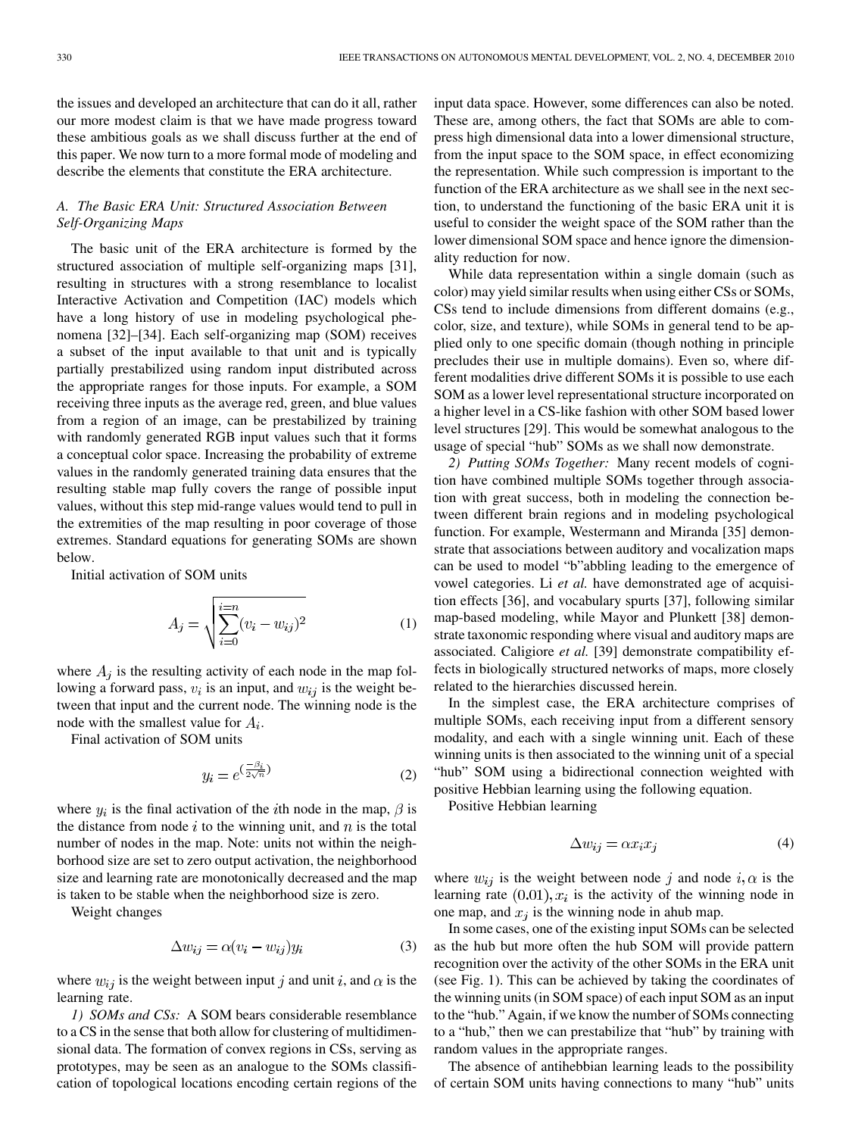the issues and developed an architecture that can do it all, rather our more modest claim is that we have made progress toward these ambitious goals as we shall discuss further at the end of this paper. We now turn to a more formal mode of modeling and describe the elements that constitute the ERA architecture.

# *A. The Basic ERA Unit: Structured Association Between Self-Organizing Maps*

The basic unit of the ERA architecture is formed by the structured association of multiple self-organizing maps [31], resulting in structures with a strong resemblance to localist Interactive Activation and Competition (IAC) models which have a long history of use in modeling psychological phenomena [32]–[34]. Each self-organizing map (SOM) receives a subset of the input available to that unit and is typically partially prestabilized using random input distributed across the appropriate ranges for those inputs. For example, a SOM receiving three inputs as the average red, green, and blue values from a region of an image, can be prestabilized by training with randomly generated RGB input values such that it forms a conceptual color space. Increasing the probability of extreme values in the randomly generated training data ensures that the resulting stable map fully covers the range of possible input values, without this step mid-range values would tend to pull in the extremities of the map resulting in poor coverage of those extremes. Standard equations for generating SOMs are shown below.

Initial activation of SOM units

$$
A_j = \sqrt{\sum_{i=0}^{i=n} (v_i - w_{ij})^2}
$$
 (1)

where  $A_i$  is the resulting activity of each node in the map following a forward pass,  $v_i$  is an input, and  $w_{ij}$  is the weight between that input and the current node. The winning node is the node with the smallest value for  $A_i$ .

Final activation of SOM units

$$
y_i = e^{\left(\frac{-\beta_i}{2\sqrt{n}}\right)}\tag{2}
$$

where  $y_i$  is the final activation of the *i*th node in the map,  $\beta$  is the distance from node  $i$  to the winning unit, and  $n$  is the total number of nodes in the map. Note: units not within the neighborhood size are set to zero output activation, the neighborhood size and learning rate are monotonically decreased and the map is taken to be stable when the neighborhood size is zero.

Weight changes

$$
\Delta w_{ij} = \alpha (v_i - w_{ij}) y_i \tag{3}
$$

where  $w_{ij}$  is the weight between input j and unit i, and  $\alpha$  is the learning rate.

*1) SOMs and CSs:* A SOM bears considerable resemblance to a CS in the sense that both allow for clustering of multidimensional data. The formation of convex regions in CSs, serving as prototypes, may be seen as an analogue to the SOMs classification of topological locations encoding certain regions of the input data space. However, some differences can also be noted. These are, among others, the fact that SOMs are able to compress high dimensional data into a lower dimensional structure, from the input space to the SOM space, in effect economizing the representation. While such compression is important to the function of the ERA architecture as we shall see in the next section, to understand the functioning of the basic ERA unit it is useful to consider the weight space of the SOM rather than the lower dimensional SOM space and hence ignore the dimensionality reduction for now.

While data representation within a single domain (such as color) may yield similar results when using either CSs or SOMs, CSs tend to include dimensions from different domains (e.g., color, size, and texture), while SOMs in general tend to be applied only to one specific domain (though nothing in principle precludes their use in multiple domains). Even so, where different modalities drive different SOMs it is possible to use each SOM as a lower level representational structure incorporated on a higher level in a CS-like fashion with other SOM based lower level structures [29]. This would be somewhat analogous to the usage of special "hub" SOMs as we shall now demonstrate.

*2) Putting SOMs Together:* Many recent models of cognition have combined multiple SOMs together through association with great success, both in modeling the connection between different brain regions and in modeling psychological function. For example, Westermann and Miranda [35] demonstrate that associations between auditory and vocalization maps can be used to model "b"abbling leading to the emergence of vowel categories. Li *et al.* have demonstrated age of acquisition effects [36], and vocabulary spurts [37], following similar map-based modeling, while Mayor and Plunkett [38] demonstrate taxonomic responding where visual and auditory maps are associated. Caligiore *et al.* [39] demonstrate compatibility effects in biologically structured networks of maps, more closely related to the hierarchies discussed herein.

In the simplest case, the ERA architecture comprises of multiple SOMs, each receiving input from a different sensory modality, and each with a single winning unit. Each of these winning units is then associated to the winning unit of a special "hub" SOM using a bidirectional connection weighted with positive Hebbian learning using the following equation.

Positive Hebbian learning

$$
\Delta w_{ij} = \alpha x_i x_j \tag{4}
$$

where  $w_{ij}$  is the weight between node j and node  $i, \alpha$  is the learning rate  $(0.01), x_i$  is the activity of the winning node in one map, and  $x_i$  is the winning node in ahub map.

In some cases, one of the existing input SOMs can be selected as the hub but more often the hub SOM will provide pattern recognition over the activity of the other SOMs in the ERA unit (see Fig. 1). This can be achieved by taking the coordinates of the winning units (in SOM space) of each input SOM as an input to the "hub." Again, if we know the number of SOMs connecting to a "hub," then we can prestabilize that "hub" by training with random values in the appropriate ranges.

The absence of antihebbian learning leads to the possibility of certain SOM units having connections to many "hub" units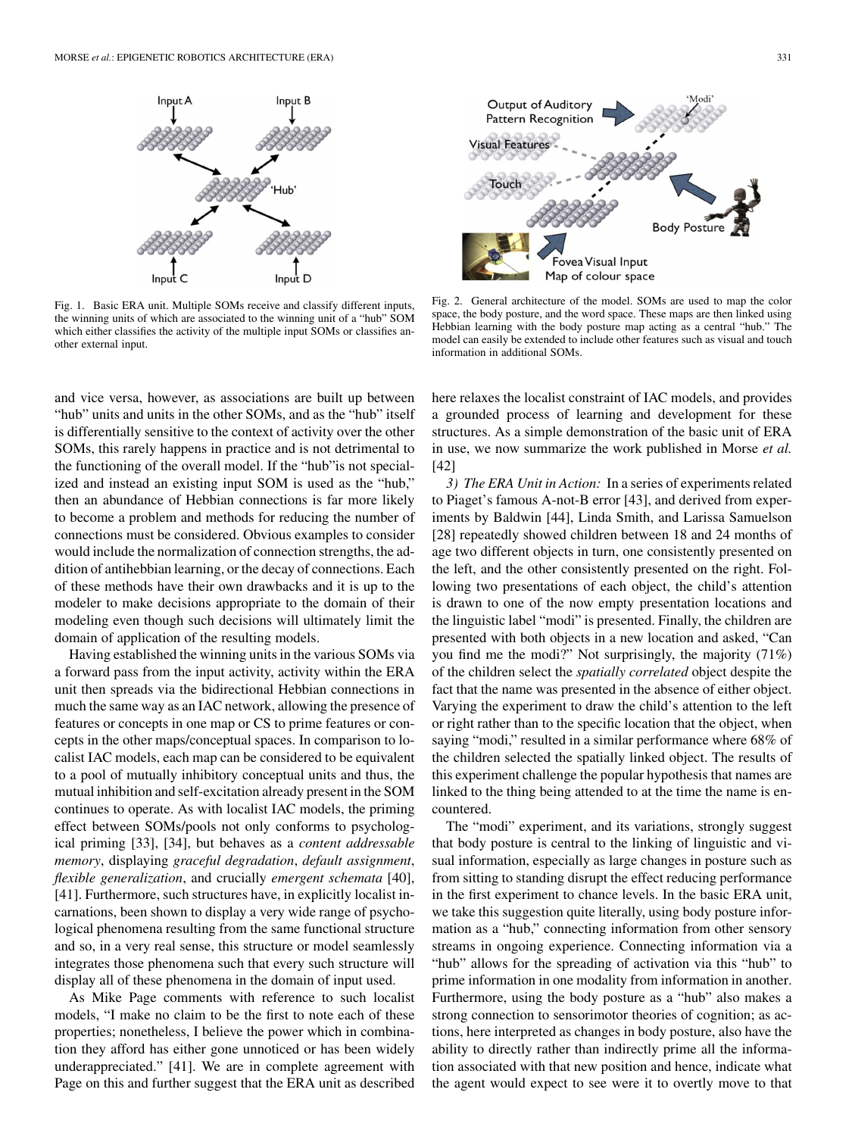

Fig. 1. Basic ERA unit. Multiple SOMs receive and classify different inputs, the winning units of which are associated to the winning unit of a "hub" SOM which either classifies the activity of the multiple input SOMs or classifies another external input.

and vice versa, however, as associations are built up between "hub" units and units in the other SOMs, and as the "hub" itself is differentially sensitive to the context of activity over the other SOMs, this rarely happens in practice and is not detrimental to the functioning of the overall model. If the "hub"is not specialized and instead an existing input SOM is used as the "hub," then an abundance of Hebbian connections is far more likely to become a problem and methods for reducing the number of connections must be considered. Obvious examples to consider would include the normalization of connection strengths, the addition of antihebbian learning, or the decay of connections. Each of these methods have their own drawbacks and it is up to the modeler to make decisions appropriate to the domain of their modeling even though such decisions will ultimately limit the domain of application of the resulting models.

Having established the winning units in the various SOMs via a forward pass from the input activity, activity within the ERA unit then spreads via the bidirectional Hebbian connections in much the same way as an IAC network, allowing the presence of features or concepts in one map or CS to prime features or concepts in the other maps/conceptual spaces. In comparison to localist IAC models, each map can be considered to be equivalent to a pool of mutually inhibitory conceptual units and thus, the mutual inhibition and self-excitation already present in the SOM continues to operate. As with localist IAC models, the priming effect between SOMs/pools not only conforms to psychological priming [33], [34], but behaves as a *content addressable memory*, displaying *graceful degradation*, *default assignment*, *flexible generalization*, and crucially *emergent schemata* [40], [41]. Furthermore, such structures have, in explicitly localist incarnations, been shown to display a very wide range of psychological phenomena resulting from the same functional structure and so, in a very real sense, this structure or model seamlessly integrates those phenomena such that every such structure will display all of these phenomena in the domain of input used.

As Mike Page comments with reference to such localist models, "I make no claim to be the first to note each of these properties; nonetheless, I believe the power which in combination they afford has either gone unnoticed or has been widely underappreciated." [41]. We are in complete agreement with Page on this and further suggest that the ERA unit as described



Fig. 2. General architecture of the model. SOMs are used to map the color space, the body posture, and the word space. These maps are then linked using Hebbian learning with the body posture map acting as a central "hub." The model can easily be extended to include other features such as visual and touch information in additional SOMs.

here relaxes the localist constraint of IAC models, and provides a grounded process of learning and development for these structures. As a simple demonstration of the basic unit of ERA in use, we now summarize the work published in Morse *et al.* [42]

*3) The ERA Unit in Action:* In a series of experiments related to Piaget's famous A-not-B error [43], and derived from experiments by Baldwin [44], Linda Smith, and Larissa Samuelson [28] repeatedly showed children between 18 and 24 months of age two different objects in turn, one consistently presented on the left, and the other consistently presented on the right. Following two presentations of each object, the child's attention is drawn to one of the now empty presentation locations and the linguistic label "modi" is presented. Finally, the children are presented with both objects in a new location and asked, "Can you find me the modi?" Not surprisingly, the majority (71%) of the children select the *spatially correlated* object despite the fact that the name was presented in the absence of either object. Varying the experiment to draw the child's attention to the left or right rather than to the specific location that the object, when saying "modi," resulted in a similar performance where 68% of the children selected the spatially linked object. The results of this experiment challenge the popular hypothesis that names are linked to the thing being attended to at the time the name is encountered.

The "modi" experiment, and its variations, strongly suggest that body posture is central to the linking of linguistic and visual information, especially as large changes in posture such as from sitting to standing disrupt the effect reducing performance in the first experiment to chance levels. In the basic ERA unit, we take this suggestion quite literally, using body posture information as a "hub," connecting information from other sensory streams in ongoing experience. Connecting information via a "hub" allows for the spreading of activation via this "hub" to prime information in one modality from information in another. Furthermore, using the body posture as a "hub" also makes a strong connection to sensorimotor theories of cognition; as actions, here interpreted as changes in body posture, also have the ability to directly rather than indirectly prime all the information associated with that new position and hence, indicate what the agent would expect to see were it to overtly move to that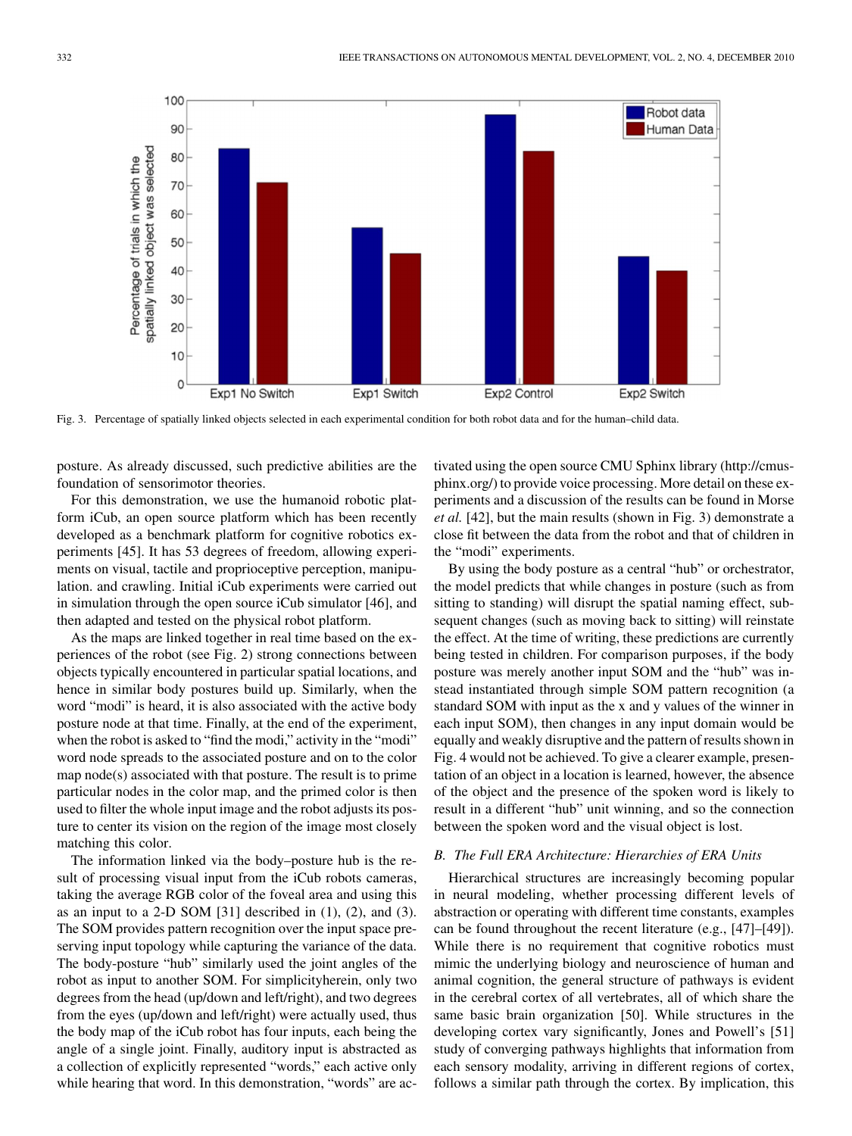

Fig. 3. Percentage of spatially linked objects selected in each experimental condition for both robot data and for the human–child data.

posture. As already discussed, such predictive abilities are the foundation of sensorimotor theories.

For this demonstration, we use the humanoid robotic platform iCub, an open source platform which has been recently developed as a benchmark platform for cognitive robotics experiments [45]. It has 53 degrees of freedom, allowing experiments on visual, tactile and proprioceptive perception, manipulation. and crawling. Initial iCub experiments were carried out in simulation through the open source iCub simulator [46], and then adapted and tested on the physical robot platform.

As the maps are linked together in real time based on the experiences of the robot (see Fig. 2) strong connections between objects typically encountered in particular spatial locations, and hence in similar body postures build up. Similarly, when the word "modi" is heard, it is also associated with the active body posture node at that time. Finally, at the end of the experiment, when the robot is asked to "find the modi," activity in the "modi" word node spreads to the associated posture and on to the color map node(s) associated with that posture. The result is to prime particular nodes in the color map, and the primed color is then used to filter the whole input image and the robot adjusts its posture to center its vision on the region of the image most closely matching this color.

The information linked via the body–posture hub is the result of processing visual input from the iCub robots cameras, taking the average RGB color of the foveal area and using this as an input to a 2-D SOM  $[31]$  described in  $(1)$ ,  $(2)$ , and  $(3)$ . The SOM provides pattern recognition over the input space preserving input topology while capturing the variance of the data. The body-posture "hub" similarly used the joint angles of the robot as input to another SOM. For simplicityherein, only two degrees from the head (up/down and left/right), and two degrees from the eyes (up/down and left/right) were actually used, thus the body map of the iCub robot has four inputs, each being the angle of a single joint. Finally, auditory input is abstracted as a collection of explicitly represented "words," each active only while hearing that word. In this demonstration, "words" are activated using the open source CMU Sphinx library (http://cmusphinx.org/) to provide voice processing. More detail on these experiments and a discussion of the results can be found in Morse *et al.* [42], but the main results (shown in Fig. 3) demonstrate a close fit between the data from the robot and that of children in the "modi" experiments.

By using the body posture as a central "hub" or orchestrator, the model predicts that while changes in posture (such as from sitting to standing) will disrupt the spatial naming effect, subsequent changes (such as moving back to sitting) will reinstate the effect. At the time of writing, these predictions are currently being tested in children. For comparison purposes, if the body posture was merely another input SOM and the "hub" was instead instantiated through simple SOM pattern recognition (a standard SOM with input as the x and y values of the winner in each input SOM), then changes in any input domain would be equally and weakly disruptive and the pattern of results shown in Fig. 4 would not be achieved. To give a clearer example, presentation of an object in a location is learned, however, the absence of the object and the presence of the spoken word is likely to result in a different "hub" unit winning, and so the connection between the spoken word and the visual object is lost.

## *B. The Full ERA Architecture: Hierarchies of ERA Units*

Hierarchical structures are increasingly becoming popular in neural modeling, whether processing different levels of abstraction or operating with different time constants, examples can be found throughout the recent literature (e.g., [47]–[49]). While there is no requirement that cognitive robotics must mimic the underlying biology and neuroscience of human and animal cognition, the general structure of pathways is evident in the cerebral cortex of all vertebrates, all of which share the same basic brain organization [50]. While structures in the developing cortex vary significantly, Jones and Powell's [51] study of converging pathways highlights that information from each sensory modality, arriving in different regions of cortex, follows a similar path through the cortex. By implication, this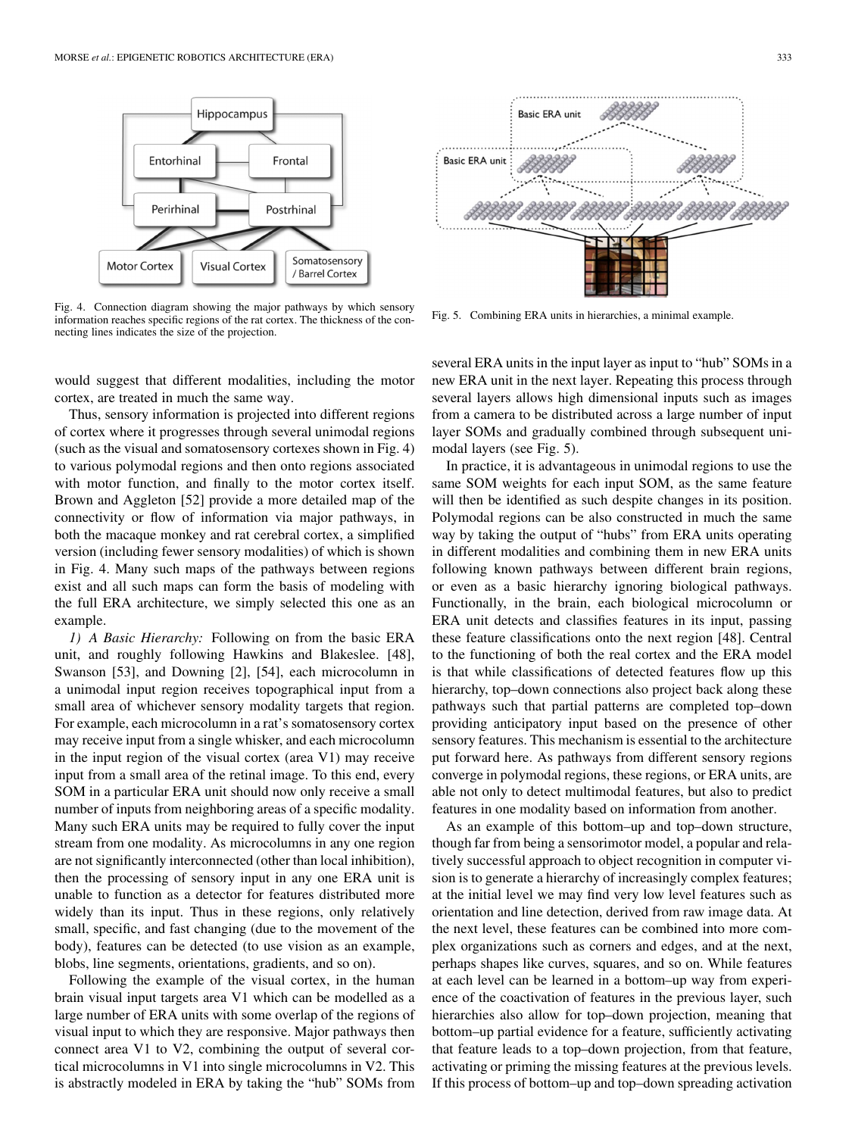

Fig. 4. Connection diagram showing the major pathways by which sensory information reaches specific regions of the rat cortex. The thickness of the connecting lines indicates the size of the projection.

would suggest that different modalities, including the motor cortex, are treated in much the same way.

Thus, sensory information is projected into different regions of cortex where it progresses through several unimodal regions (such as the visual and somatosensory cortexes shown in Fig. 4) to various polymodal regions and then onto regions associated with motor function, and finally to the motor cortex itself. Brown and Aggleton [52] provide a more detailed map of the connectivity or flow of information via major pathways, in both the macaque monkey and rat cerebral cortex, a simplified version (including fewer sensory modalities) of which is shown in Fig. 4. Many such maps of the pathways between regions exist and all such maps can form the basis of modeling with the full ERA architecture, we simply selected this one as an example.

*1) A Basic Hierarchy:* Following on from the basic ERA unit, and roughly following Hawkins and Blakeslee. [48], Swanson [53], and Downing [2], [54], each microcolumn in a unimodal input region receives topographical input from a small area of whichever sensory modality targets that region. For example, each microcolumn in a rat's somatosensory cortex may receive input from a single whisker, and each microcolumn in the input region of the visual cortex (area V1) may receive input from a small area of the retinal image. To this end, every SOM in a particular ERA unit should now only receive a small number of inputs from neighboring areas of a specific modality. Many such ERA units may be required to fully cover the input stream from one modality. As microcolumns in any one region are not significantly interconnected (other than local inhibition), then the processing of sensory input in any one ERA unit is unable to function as a detector for features distributed more widely than its input. Thus in these regions, only relatively small, specific, and fast changing (due to the movement of the body), features can be detected (to use vision as an example, blobs, line segments, orientations, gradients, and so on).

Following the example of the visual cortex, in the human brain visual input targets area V1 which can be modelled as a large number of ERA units with some overlap of the regions of visual input to which they are responsive. Major pathways then connect area V1 to V2, combining the output of several cortical microcolumns in V1 into single microcolumns in V2. This is abstractly modeled in ERA by taking the "hub" SOMs from



Fig. 5. Combining ERA units in hierarchies, a minimal example.

several ERA units in the input layer as input to "hub" SOMs in a new ERA unit in the next layer. Repeating this process through several layers allows high dimensional inputs such as images from a camera to be distributed across a large number of input layer SOMs and gradually combined through subsequent unimodal layers (see Fig. 5).

In practice, it is advantageous in unimodal regions to use the same SOM weights for each input SOM, as the same feature will then be identified as such despite changes in its position. Polymodal regions can be also constructed in much the same way by taking the output of "hubs" from ERA units operating in different modalities and combining them in new ERA units following known pathways between different brain regions, or even as a basic hierarchy ignoring biological pathways. Functionally, in the brain, each biological microcolumn or ERA unit detects and classifies features in its input, passing these feature classifications onto the next region [48]. Central to the functioning of both the real cortex and the ERA model is that while classifications of detected features flow up this hierarchy, top–down connections also project back along these pathways such that partial patterns are completed top–down providing anticipatory input based on the presence of other sensory features. This mechanism is essential to the architecture put forward here. As pathways from different sensory regions converge in polymodal regions, these regions, or ERA units, are able not only to detect multimodal features, but also to predict features in one modality based on information from another.

As an example of this bottom–up and top–down structure, though far from being a sensorimotor model, a popular and relatively successful approach to object recognition in computer vision is to generate a hierarchy of increasingly complex features; at the initial level we may find very low level features such as orientation and line detection, derived from raw image data. At the next level, these features can be combined into more complex organizations such as corners and edges, and at the next, perhaps shapes like curves, squares, and so on. While features at each level can be learned in a bottom–up way from experience of the coactivation of features in the previous layer, such hierarchies also allow for top–down projection, meaning that bottom–up partial evidence for a feature, sufficiently activating that feature leads to a top–down projection, from that feature, activating or priming the missing features at the previous levels. If this process of bottom–up and top–down spreading activation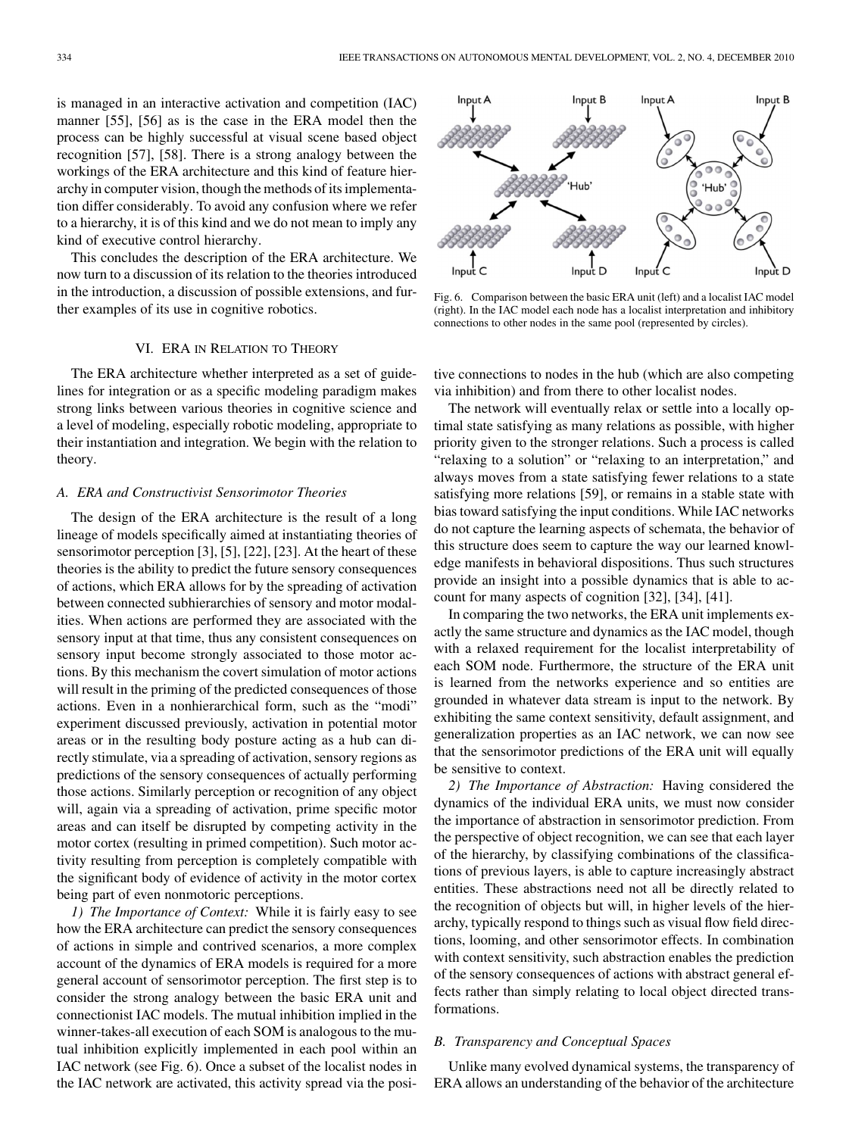is managed in an interactive activation and competition (IAC) manner [55], [56] as is the case in the ERA model then the process can be highly successful at visual scene based object recognition [57], [58]. There is a strong analogy between the workings of the ERA architecture and this kind of feature hierarchy in computer vision, though the methods of its implementation differ considerably. To avoid any confusion where we refer to a hierarchy, it is of this kind and we do not mean to imply any kind of executive control hierarchy.

This concludes the description of the ERA architecture. We now turn to a discussion of its relation to the theories introduced in the introduction, a discussion of possible extensions, and further examples of its use in cognitive robotics.

# VI. ERA IN RELATION TO THEORY

The ERA architecture whether interpreted as a set of guidelines for integration or as a specific modeling paradigm makes strong links between various theories in cognitive science and a level of modeling, especially robotic modeling, appropriate to their instantiation and integration. We begin with the relation to theory.

## *A. ERA and Constructivist Sensorimotor Theories*

The design of the ERA architecture is the result of a long lineage of models specifically aimed at instantiating theories of sensorimotor perception [3], [5], [22], [23]. At the heart of these theories is the ability to predict the future sensory consequences of actions, which ERA allows for by the spreading of activation between connected subhierarchies of sensory and motor modalities. When actions are performed they are associated with the sensory input at that time, thus any consistent consequences on sensory input become strongly associated to those motor actions. By this mechanism the covert simulation of motor actions will result in the priming of the predicted consequences of those actions. Even in a nonhierarchical form, such as the "modi" experiment discussed previously, activation in potential motor areas or in the resulting body posture acting as a hub can directly stimulate, via a spreading of activation, sensory regions as predictions of the sensory consequences of actually performing those actions. Similarly perception or recognition of any object will, again via a spreading of activation, prime specific motor areas and can itself be disrupted by competing activity in the motor cortex (resulting in primed competition). Such motor activity resulting from perception is completely compatible with the significant body of evidence of activity in the motor cortex being part of even nonmotoric perceptions.

*1) The Importance of Context:* While it is fairly easy to see how the ERA architecture can predict the sensory consequences of actions in simple and contrived scenarios, a more complex account of the dynamics of ERA models is required for a more general account of sensorimotor perception. The first step is to consider the strong analogy between the basic ERA unit and connectionist IAC models. The mutual inhibition implied in the winner-takes-all execution of each SOM is analogous to the mutual inhibition explicitly implemented in each pool within an IAC network (see Fig. 6). Once a subset of the localist nodes in the IAC network are activated, this activity spread via the posi-



Fig. 6. Comparison between the basic ERA unit (left) and a localist IAC model (right). In the IAC model each node has a localist interpretation and inhibitory connections to other nodes in the same pool (represented by circles).

tive connections to nodes in the hub (which are also competing via inhibition) and from there to other localist nodes.

The network will eventually relax or settle into a locally optimal state satisfying as many relations as possible, with higher priority given to the stronger relations. Such a process is called "relaxing to a solution" or "relaxing to an interpretation," and always moves from a state satisfying fewer relations to a state satisfying more relations [59], or remains in a stable state with bias toward satisfying the input conditions. While IAC networks do not capture the learning aspects of schemata, the behavior of this structure does seem to capture the way our learned knowledge manifests in behavioral dispositions. Thus such structures provide an insight into a possible dynamics that is able to account for many aspects of cognition [32], [34], [41].

In comparing the two networks, the ERA unit implements exactly the same structure and dynamics as the IAC model, though with a relaxed requirement for the localist interpretability of each SOM node. Furthermore, the structure of the ERA unit is learned from the networks experience and so entities are grounded in whatever data stream is input to the network. By exhibiting the same context sensitivity, default assignment, and generalization properties as an IAC network, we can now see that the sensorimotor predictions of the ERA unit will equally be sensitive to context.

*2) The Importance of Abstraction:* Having considered the dynamics of the individual ERA units, we must now consider the importance of abstraction in sensorimotor prediction. From the perspective of object recognition, we can see that each layer of the hierarchy, by classifying combinations of the classifications of previous layers, is able to capture increasingly abstract entities. These abstractions need not all be directly related to the recognition of objects but will, in higher levels of the hierarchy, typically respond to things such as visual flow field directions, looming, and other sensorimotor effects. In combination with context sensitivity, such abstraction enables the prediction of the sensory consequences of actions with abstract general effects rather than simply relating to local object directed transformations.

# *B. Transparency and Conceptual Spaces*

Unlike many evolved dynamical systems, the transparency of ERA allows an understanding of the behavior of the architecture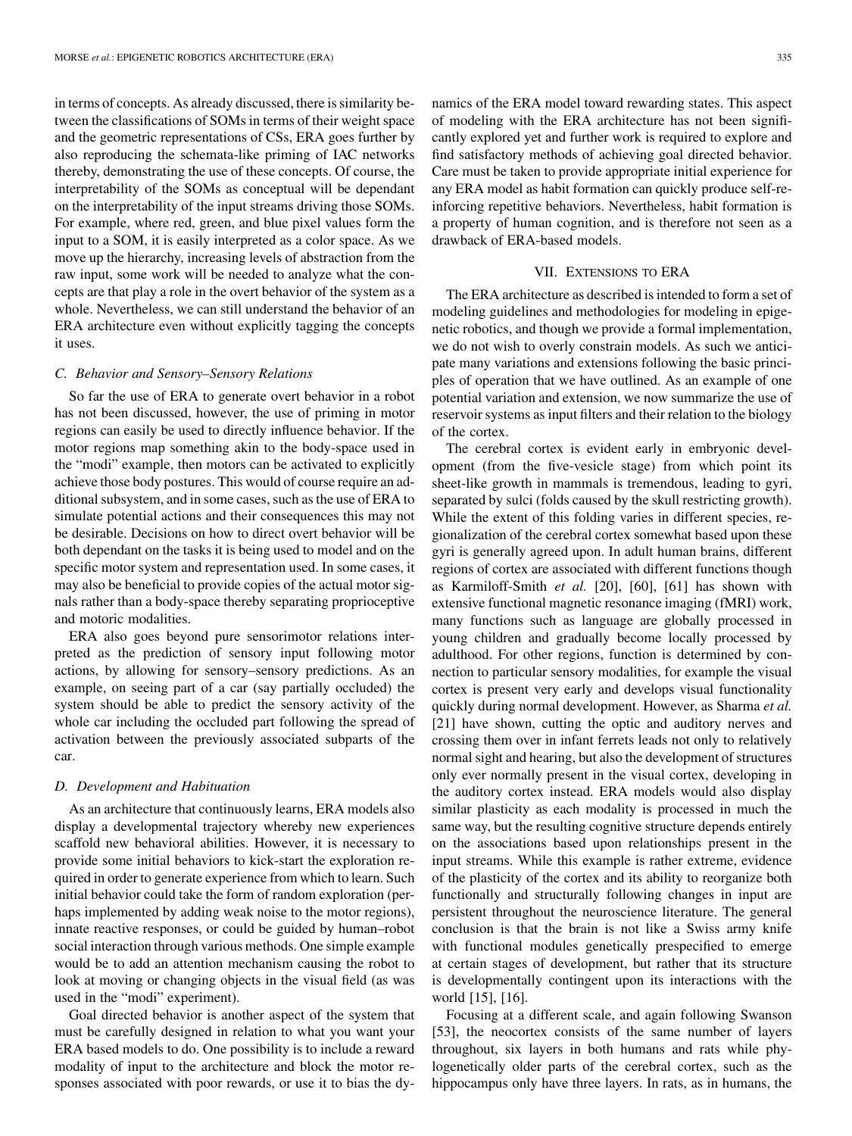in terms of concepts. As already discussed, there is similarity between the classifications of SOMs in terms of their weight space and the geometric representations of CSs, ERA goes further by also reproducing the schemata-like priming of IAC networks thereby, demonstrating the use of these concepts. Of course, the interpretability of the SOMs as conceptual will be dependant on the interpretability of the input streams driving those SOMs. For example, where red, green, and blue pixel values form the input to a SOM, it is easily interpreted as a color space. As we move up the hierarchy, increasing levels of abstraction from the raw input, some work will be needed to analyze what the concepts are that play a role in the overt behavior of the system as a whole. Nevertheless, we can still understand the behavior of an ERA architecture even without explicitly tagging the concepts it uses.

## *C. Behavior and Sensory–Sensory Relations*

So far the use of ERA to generate overt behavior in a robot has not been discussed, however, the use of priming in motor regions can easily be used to directly influence behavior. If the motor regions map something akin to the body-space used in the "modi" example, then motors can be activated to explicitly achieve those body postures. This would of course require an additional subsystem, and in some cases, such as the use of ERA to simulate potential actions and their consequences this may not be desirable. Decisions on how to direct overt behavior will be both dependant on the tasks it is being used to model and on the specific motor system and representation used. In some cases, it may also be beneficial to provide copies of the actual motor signals rather than a body-space thereby separating proprioceptive and motoric modalities.

ERA also goes beyond pure sensorimotor relations interpreted as the prediction of sensory input following motor actions, by allowing for sensory–sensory predictions. As an example, on seeing part of a car (say partially occluded) the system should be able to predict the sensory activity of the whole car including the occluded part following the spread of activation between the previously associated subparts of the car.

## *D. Development and Habituation*

As an architecture that continuously learns, ERA models also display a developmental trajectory whereby new experiences scaffold new behavioral abilities. However, it is necessary to provide some initial behaviors to kick-start the exploration required in order to generate experience from which to learn. Such initial behavior could take the form of random exploration (perhaps implemented by adding weak noise to the motor regions), innate reactive responses, or could be guided by human–robot social interaction through various methods. One simple example would be to add an attention mechanism causing the robot to look at moving or changing objects in the visual field (as was used in the "modi" experiment).

Goal directed behavior is another aspect of the system that must be carefully designed in relation to what you want your ERA based models to do. One possibility is to include a reward modality of input to the architecture and block the motor responses associated with poor rewards, or use it to bias the dynamics of the ERA model toward rewarding states. This aspect of modeling with the ERA architecture has not been significantly explored yet and further work is required to explore and find satisfactory methods of achieving goal directed behavior. Care must be taken to provide appropriate initial experience for any ERA model as habit formation can quickly produce self-reinforcing repetitive behaviors. Nevertheless, habit formation is a property of human cognition, and is therefore not seen as a drawback of ERA-based models.

## VII. EXTENSIONS TO ERA

The ERA architecture as described is intended to form a set of modeling guidelines and methodologies for modeling in epigenetic robotics, and though we provide a formal implementation, we do not wish to overly constrain models. As such we anticipate many variations and extensions following the basic principles of operation that we have outlined. As an example of one potential variation and extension, we now summarize the use of reservoir systems as input filters and their relation to the biology of the cortex.

The cerebral cortex is evident early in embryonic development (from the five-vesicle stage) from which point its sheet-like growth in mammals is tremendous, leading to gyri, separated by sulci (folds caused by the skull restricting growth). While the extent of this folding varies in different species, regionalization of the cerebral cortex somewhat based upon these gyri is generally agreed upon. In adult human brains, different regions of cortex are associated with different functions though as Karmiloff-Smith *et al.* [20], [60], [61] has shown with extensive functional magnetic resonance imaging (fMRI) work, many functions such as language are globally processed in young children and gradually become locally processed by adulthood. For other regions, function is determined by connection to particular sensory modalities, for example the visual cortex is present very early and develops visual functionality quickly during normal development. However, as Sharma *et al.* [21] have shown, cutting the optic and auditory nerves and crossing them over in infant ferrets leads not only to relatively normal sight and hearing, but also the development of structures only ever normally present in the visual cortex, developing in the auditory cortex instead. ERA models would also display similar plasticity as each modality is processed in much the same way, but the resulting cognitive structure depends entirely on the associations based upon relationships present in the input streams. While this example is rather extreme, evidence of the plasticity of the cortex and its ability to reorganize both functionally and structurally following changes in input are persistent throughout the neuroscience literature. The general conclusion is that the brain is not like a Swiss army knife with functional modules genetically prespecified to emerge at certain stages of development, but rather that its structure is developmentally contingent upon its interactions with the world [15], [16].

Focusing at a different scale, and again following Swanson [53], the neocortex consists of the same number of layers throughout, six layers in both humans and rats while phylogenetically older parts of the cerebral cortex, such as the hippocampus only have three layers. In rats, as in humans, the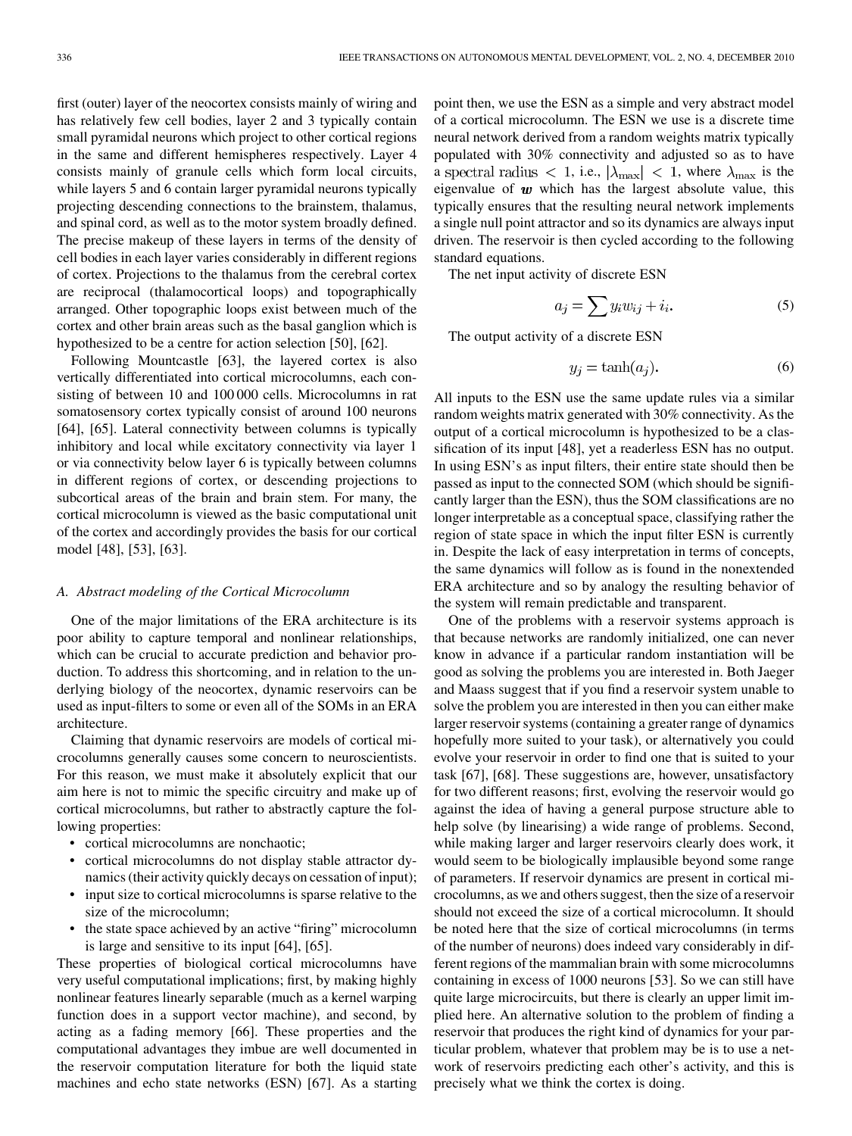first (outer) layer of the neocortex consists mainly of wiring and has relatively few cell bodies, layer 2 and 3 typically contain small pyramidal neurons which project to other cortical regions in the same and different hemispheres respectively. Layer 4 consists mainly of granule cells which form local circuits, while layers 5 and 6 contain larger pyramidal neurons typically projecting descending connections to the brainstem, thalamus, and spinal cord, as well as to the motor system broadly defined. The precise makeup of these layers in terms of the density of cell bodies in each layer varies considerably in different regions of cortex. Projections to the thalamus from the cerebral cortex are reciprocal (thalamocortical loops) and topographically arranged. Other topographic loops exist between much of the cortex and other brain areas such as the basal ganglion which is hypothesized to be a centre for action selection [50], [62].

Following Mountcastle [63], the layered cortex is also vertically differentiated into cortical microcolumns, each consisting of between 10 and 100 000 cells. Microcolumns in rat somatosensory cortex typically consist of around 100 neurons [64], [65]. Lateral connectivity between columns is typically inhibitory and local while excitatory connectivity via layer 1 or via connectivity below layer 6 is typically between columns in different regions of cortex, or descending projections to subcortical areas of the brain and brain stem. For many, the cortical microcolumn is viewed as the basic computational unit of the cortex and accordingly provides the basis for our cortical model [48], [53], [63].

# *A. Abstract modeling of the Cortical Microcolumn*

One of the major limitations of the ERA architecture is its poor ability to capture temporal and nonlinear relationships, which can be crucial to accurate prediction and behavior production. To address this shortcoming, and in relation to the underlying biology of the neocortex, dynamic reservoirs can be used as input-filters to some or even all of the SOMs in an ERA architecture.

Claiming that dynamic reservoirs are models of cortical microcolumns generally causes some concern to neuroscientists. For this reason, we must make it absolutely explicit that our aim here is not to mimic the specific circuitry and make up of cortical microcolumns, but rather to abstractly capture the following properties:

- cortical microcolumns are nonchaotic;
- cortical microcolumns do not display stable attractor dynamics (their activity quickly decays on cessation of input);
- input size to cortical microcolumns is sparse relative to the size of the microcolumn;
- the state space achieved by an active "firing" microcolumn is large and sensitive to its input [64], [65].

These properties of biological cortical microcolumns have very useful computational implications; first, by making highly nonlinear features linearly separable (much as a kernel warping function does in a support vector machine), and second, by acting as a fading memory [66]. These properties and the computational advantages they imbue are well documented in the reservoir computation literature for both the liquid state machines and echo state networks (ESN) [67]. As a starting point then, we use the ESN as a simple and very abstract model of a cortical microcolumn. The ESN we use is a discrete time neural network derived from a random weights matrix typically populated with 30% connectivity and adjusted so as to have a spectral radius  $\langle 1, i.e., |\lambda_{\text{max}}| \langle 1, \text{ where } \lambda_{\text{max}} \rangle$  is the eigenvalue of  $w$  which has the largest absolute value, this typically ensures that the resulting neural network implements a single null point attractor and so its dynamics are always input driven. The reservoir is then cycled according to the following standard equations.

The net input activity of discrete ESN

$$
a_j = \sum y_i w_{ij} + i_i.
$$
 (5)

The output activity of a discrete ESN

$$
y_j = \tanh(a_j). \tag{6}
$$

All inputs to the ESN use the same update rules via a similar random weights matrix generated with 30% connectivity. As the output of a cortical microcolumn is hypothesized to be a classification of its input [48], yet a readerless ESN has no output. In using ESN's as input filters, their entire state should then be passed as input to the connected SOM (which should be significantly larger than the ESN), thus the SOM classifications are no longer interpretable as a conceptual space, classifying rather the region of state space in which the input filter ESN is currently in. Despite the lack of easy interpretation in terms of concepts, the same dynamics will follow as is found in the nonextended ERA architecture and so by analogy the resulting behavior of the system will remain predictable and transparent.

One of the problems with a reservoir systems approach is that because networks are randomly initialized, one can never know in advance if a particular random instantiation will be good as solving the problems you are interested in. Both Jaeger and Maass suggest that if you find a reservoir system unable to solve the problem you are interested in then you can either make larger reservoir systems (containing a greater range of dynamics hopefully more suited to your task), or alternatively you could evolve your reservoir in order to find one that is suited to your task [67], [68]. These suggestions are, however, unsatisfactory for two different reasons; first, evolving the reservoir would go against the idea of having a general purpose structure able to help solve (by linearising) a wide range of problems. Second, while making larger and larger reservoirs clearly does work, it would seem to be biologically implausible beyond some range of parameters. If reservoir dynamics are present in cortical microcolumns, as we and others suggest, then the size of a reservoir should not exceed the size of a cortical microcolumn. It should be noted here that the size of cortical microcolumns (in terms of the number of neurons) does indeed vary considerably in different regions of the mammalian brain with some microcolumns containing in excess of 1000 neurons [53]. So we can still have quite large microcircuits, but there is clearly an upper limit implied here. An alternative solution to the problem of finding a reservoir that produces the right kind of dynamics for your particular problem, whatever that problem may be is to use a network of reservoirs predicting each other's activity, and this is precisely what we think the cortex is doing.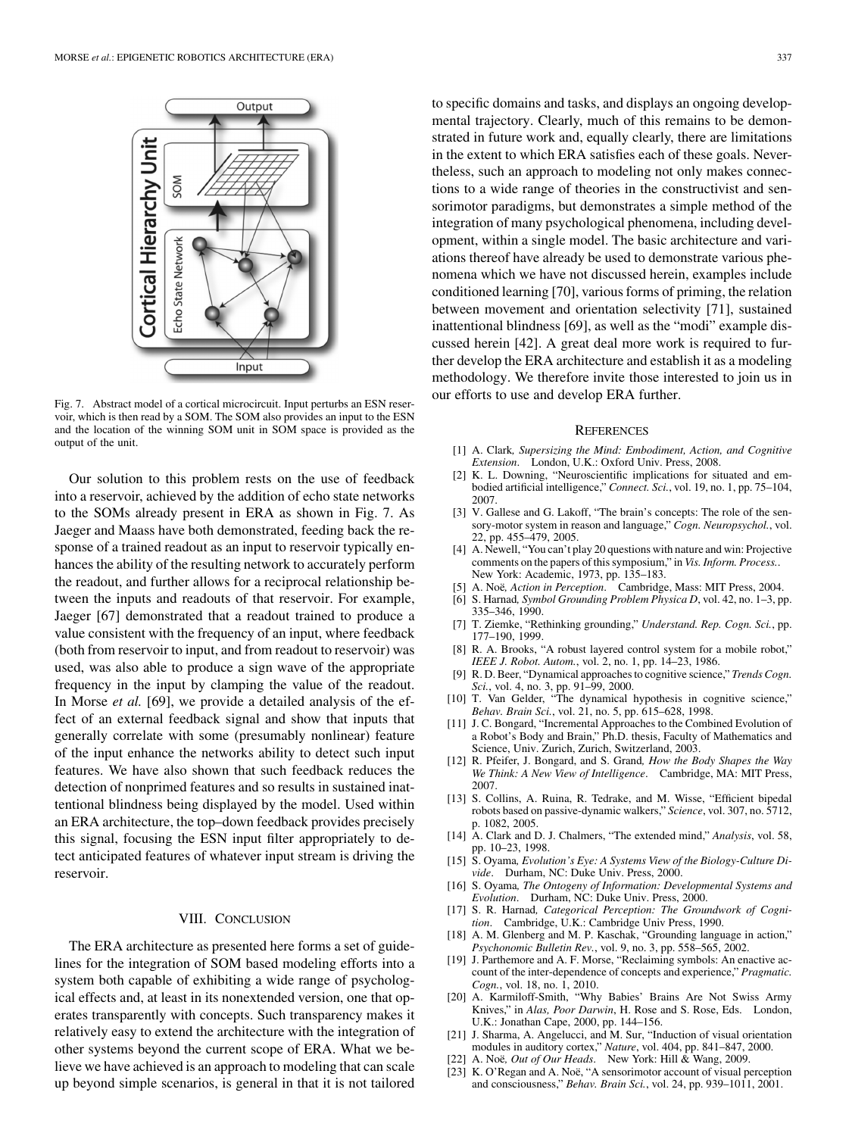

Fig. 7. Abstract model of a cortical microcircuit. Input perturbs an ESN reservoir, which is then read by a SOM. The SOM also provides an input to the ESN and the location of the winning SOM unit in SOM space is provided as the output of the unit.

Our solution to this problem rests on the use of feedback into a reservoir, achieved by the addition of echo state networks to the SOMs already present in ERA as shown in Fig. 7. As Jaeger and Maass have both demonstrated, feeding back the response of a trained readout as an input to reservoir typically enhances the ability of the resulting network to accurately perform the readout, and further allows for a reciprocal relationship between the inputs and readouts of that reservoir. For example, Jaeger [67] demonstrated that a readout trained to produce a value consistent with the frequency of an input, where feedback (both from reservoir to input, and from readout to reservoir) was used, was also able to produce a sign wave of the appropriate frequency in the input by clamping the value of the readout. In Morse *et al.* [69], we provide a detailed analysis of the effect of an external feedback signal and show that inputs that generally correlate with some (presumably nonlinear) feature of the input enhance the networks ability to detect such input features. We have also shown that such feedback reduces the detection of nonprimed features and so results in sustained inattentional blindness being displayed by the model. Used within an ERA architecture, the top–down feedback provides precisely this signal, focusing the ESN input filter appropriately to detect anticipated features of whatever input stream is driving the reservoir.

## VIII. CONCLUSION

The ERA architecture as presented here forms a set of guidelines for the integration of SOM based modeling efforts into a system both capable of exhibiting a wide range of psychological effects and, at least in its nonextended version, one that operates transparently with concepts. Such transparency makes it relatively easy to extend the architecture with the integration of other systems beyond the current scope of ERA. What we believe we have achieved is an approach to modeling that can scale up beyond simple scenarios, is general in that it is not tailored to specific domains and tasks, and displays an ongoing developmental trajectory. Clearly, much of this remains to be demonstrated in future work and, equally clearly, there are limitations in the extent to which ERA satisfies each of these goals. Nevertheless, such an approach to modeling not only makes connections to a wide range of theories in the constructivist and sensorimotor paradigms, but demonstrates a simple method of the integration of many psychological phenomena, including development, within a single model. The basic architecture and variations thereof have already be used to demonstrate various phenomena which we have not discussed herein, examples include conditioned learning [70], various forms of priming, the relation between movement and orientation selectivity [71], sustained inattentional blindness [69], as well as the "modi" example discussed herein [42]. A great deal more work is required to further develop the ERA architecture and establish it as a modeling methodology. We therefore invite those interested to join us in our efforts to use and develop ERA further.

#### **REFERENCES**

- [1] A. Clark*, Supersizing the Mind: Embodiment, Action, and Cognitive Extension*. London, U.K.: Oxford Univ. Press, 2008.
- [2] K. L. Downing, "Neuroscientific implications for situated and embodied artificial intelligence," *Connect. Sci.*, vol. 19, no. 1, pp. 75–104, 2007.
- [3] V. Gallese and G. Lakoff, "The brain's concepts: The role of the sensory-motor system in reason and language," *Cogn. Neuropsychol.*, vol. 22, pp. 455–479, 2005.
- [4] A. Newell, "You can't play 20 questions with nature and win: Projective comments on the papers of this symposium," in *Vis. Inform. Process.*. New York: Academic, 1973, pp. 135–183.
- [5] A. Noë*, Action in Perception*. Cambridge, Mass: MIT Press, 2004.
- [6] S. Harnad*, Symbol Grounding Problem Physica D*, vol. 42, no. 1–3, pp. 335–346, 1990.
- [7] T. Ziemke, "Rethinking grounding," *Understand. Rep. Cogn. Sci.*, pp. 177–190, 1999.
- [8] R. A. Brooks, "A robust layered control system for a mobile robot," *IEEE J. Robot. Autom.*, vol. 2, no. 1, pp. 14–23, 1986.
- [9] R. D. Beer, "Dynamical approaches to cognitive science," *Trends Cogn. Sci.*, vol. 4, no. 3, pp. 91–99, 2000.
- [10] T. Van Gelder, "The dynamical hypothesis in cognitive science," *Behav. Brain Sci.*, vol. 21, no. 5, pp. 615–628, 1998.
- [11] J. C. Bongard, "Incremental Approaches to the Combined Evolution of a Robot's Body and Brain," Ph.D. thesis, Faculty of Mathematics and Science, Univ. Zurich, Zurich, Switzerland, 2003.
- [12] R. Pfeifer, J. Bongard, and S. Grand*, How the Body Shapes the Way We Think: A New View of Intelligence*. Cambridge, MA: MIT Press, 2007.
- [13] S. Collins, A. Ruina, R. Tedrake, and M. Wisse, "Efficient bipedal robots based on passive-dynamic walkers," *Science*, vol. 307, no. 5712, p. 1082, 2005.
- [14] A. Clark and D. J. Chalmers, "The extended mind," *Analysis*, vol. 58, pp. 10–23, 1998.
- [15] S. Oyama, *Evolution's Eye: A Systems View of the Biology-Culture Divide*. Durham, NC: Duke Univ. Press, 2000.
- [16] S. Oyama*, The Ontogeny of Information: Developmental Systems and Evolution*. Durham, NC: Duke Univ. Press, 2000.
- [17] S. R. Harnad*, Categorical Perception: The Groundwork of Cognition*. Cambridge, U.K.: Cambridge Univ Press, 1990.
- [18] A. M. Glenberg and M. P. Kaschak, "Grounding language in action," *Psychonomic Bulletin Rev.*, vol. 9, no. 3, pp. 558–565, 2002.
- [19] J. Parthemore and A. F. Morse, "Reclaiming symbols: An enactive account of the inter-dependence of concepts and experience," *Pragmatic. Cogn.*, vol. 18, no. 1, 2010.
- [20] A. Karmiloff-Smith, "Why Babies' Brains Are Not Swiss Army Knives," in *Alas, Poor Darwin*, H. Rose and S. Rose, Eds. London, U.K.: Jonathan Cape, 2000, pp. 144–156.
- [21] J. Sharma, A. Angelucci, and M. Sur, "Induction of visual orientation modules in auditory cortex," *Nature*, vol. 404, pp. 841–847, 2000.
- [22] A. Noë*, Out of Our Heads*. New York: Hill & Wang, 2009.
- [23] K. O'Regan and A. Noë, "A sensorimotor account of visual perception and consciousness," *Behav. Brain Sci.*, vol. 24, pp. 939–1011, 2001.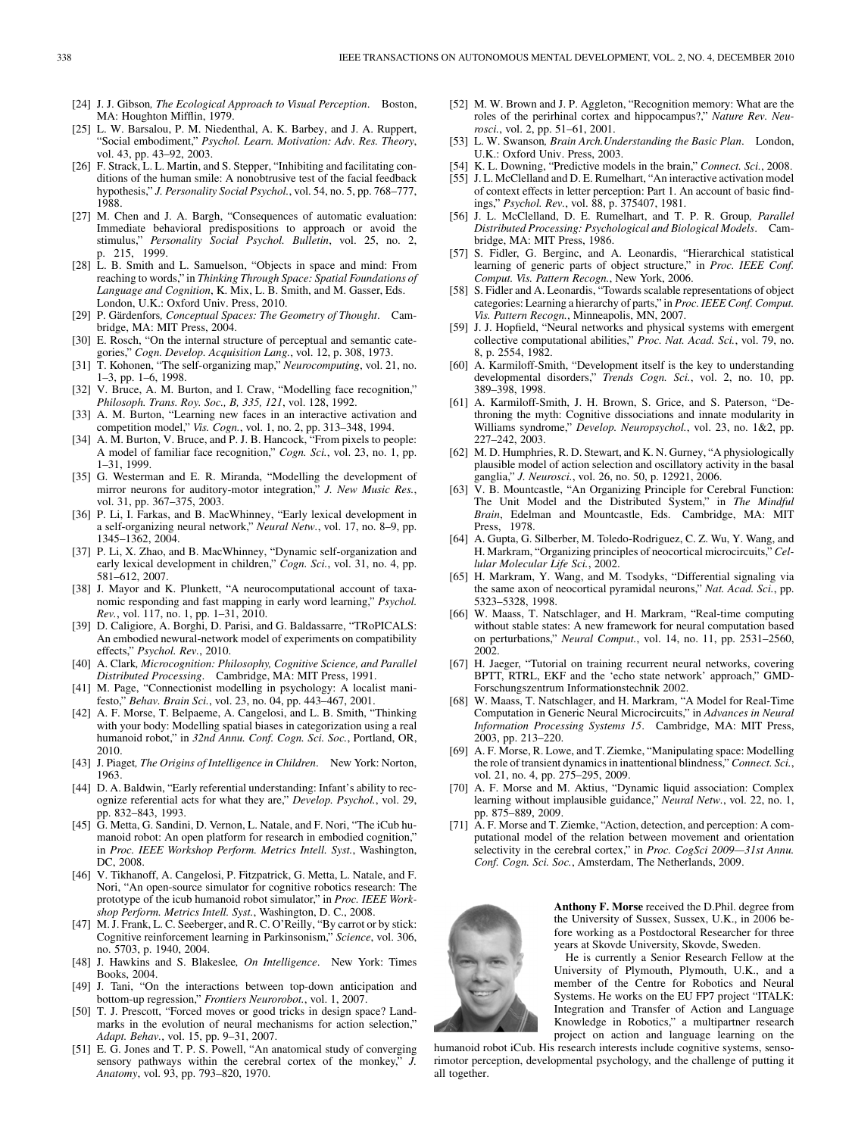- [24] J. J. Gibson*, The Ecological Approach to Visual Perception*. Boston, MA: Houghton Mifflin, 1979.
- [25] L. W. Barsalou, P. M. Niedenthal, A. K. Barbey, and J. A. Ruppert, "Social embodiment," *Psychol. Learn. Motivation: Adv. Res. Theory*, vol. 43, pp. 43–92, 2003.
- [26] F. Strack, L. L. Martin, and S. Stepper, "Inhibiting and facilitating conditions of the human smile: A nonobtrusive test of the facial feedback hypothesis," *J. Personality Social Psychol.*, vol. 54, no. 5, pp. 768–777, 1988.
- [27] M. Chen and J. A. Bargh, "Consequences of automatic evaluation: Immediate behavioral predispositions to approach or avoid the stimulus," *Personality Social Psychol. Bulletin*, vol. 25, no. 2, p. 215, 1999.
- [28] L. B. Smith and L. Samuelson, "Objects in space and mind: From reaching to words," in *Thinking Through Space: Spatial Foundations of Language and Cognition*, K. Mix, L. B. Smith, and M. Gasser, Eds. London, U.K.: Oxford Univ. Press, 2010.
- [29] P. Gärdenfors*, Conceptual Spaces: The Geometry of Thought*. Cambridge, MA: MIT Press, 2004.
- [30] E. Rosch, "On the internal structure of perceptual and semantic categories," *Cogn. Develop. Acquisition Lang.*, vol. 12, p. 308, 1973.
- [31] T. Kohonen, "The self-organizing map," *Neurocomputing*, vol. 21, no. 1–3, pp. 1–6, 1998.
- [32] V. Bruce, A. M. Burton, and I. Craw, "Modelling face recognition," *Philosoph. Trans. Roy. Soc., B, 335, 121*, vol. 128, 1992.
- [33] A. M. Burton, "Learning new faces in an interactive activation and competition model," *Vis. Cogn.*, vol. 1, no. 2, pp. 313–348, 1994.
- [34] A. M. Burton, V. Bruce, and P. J. B. Hancock, "From pixels to people: A model of familiar face recognition," *Cogn. Sci.*, vol. 23, no. 1, pp. 1–31, 1999.
- [35] G. Westerman and E. R. Miranda, "Modelling the development of mirror neurons for auditory-motor integration," *J. New Music Res.*, vol. 31, pp. 367–375, 2003.
- [36] P. Li, I. Farkas, and B. MacWhinney, "Early lexical development in a self-organizing neural network," *Neural Netw.*, vol. 17, no. 8–9, pp. 1345–1362, 2004.
- [37] P. Li, X. Zhao, and B. MacWhinney, "Dynamic self-organization and early lexical development in children," *Cogn. Sci.*, vol. 31, no. 4, pp. 581–612, 2007.
- [38] J. Mayor and K. Plunkett, "A neurocomputational account of taxanomic responding and fast mapping in early word learning," *Psychol. Rev.*, vol. 117, no. 1, pp. 1–31, 2010.
- [39] D. Caligiore, A. Borghi, D. Parisi, and G. Baldassarre, "TRoPICALS: An embodied newural-network model of experiments on compatibility effects," *Psychol. Rev.*, 2010.
- [40] A. Clark*, Microcognition: Philosophy, Cognitive Science, and Parallel Distributed Processing*. Cambridge, MA: MIT Press, 1991.
- [41] M. Page, "Connectionist modelling in psychology: A localist manifesto," *Behav. Brain Sci.*, vol. 23, no. 04, pp. 443–467, 2001.
- [42] A. F. Morse, T. Belpaeme, A. Cangelosi, and L. B. Smith, "Thinking with your body: Modelling spatial biases in categorization using a real humanoid robot," in *32nd Annu. Conf. Cogn. Sci. Soc.*, Portland, OR, 2010.
- [43] J. Piaget*, The Origins of Intelligence in Children*. New York: Norton, 1963.
- [44] D. A. Baldwin, "Early referential understanding: Infant's ability to recognize referential acts for what they are," *Develop. Psychol.*, vol. 29, pp. 832–843, 1993.
- [45] G. Metta, G. Sandini, D. Vernon, L. Natale, and F. Nori, "The iCub humanoid robot: An open platform for research in embodied cognition," in *Proc. IEEE Workshop Perform. Metrics Intell. Syst.*, Washington, DC, 2008.
- [46] V. Tikhanoff, A. Cangelosi, P. Fitzpatrick, G. Metta, L. Natale, and F. Nori, "An open-source simulator for cognitive robotics research: The prototype of the icub humanoid robot simulator," in *Proc. IEEE Workshop Perform. Metrics Intell. Syst.*, Washington, D. C., 2008.
- [47] M. J. Frank, L. C. Seeberger, and R. C. O'Reilly, "By carrot or by stick: Cognitive reinforcement learning in Parkinsonism," *Science*, vol. 306, no. 5703, p. 1940, 2004.
- [48] J. Hawkins and S. Blakeslee*, On Intelligence*. New York: Times Books, 2004.
- [49] J. Tani, "On the interactions between top-down anticipation and bottom-up regression," *Frontiers Neurorobot.*, vol. 1, 2007.
- [50] T. J. Prescott, "Forced moves or good tricks in design space? Landmarks in the evolution of neural mechanisms for action selection," *Adapt. Behav.*, vol. 15, pp. 9–31, 2007.
- [51] E. G. Jones and T. P. S. Powell, "An anatomical study of converging sensory pathways within the cerebral cortex of the monkey," *J. Anatomy*, vol. 93, pp. 793–820, 1970.
- [52] M. W. Brown and J. P. Aggleton, "Recognition memory: What are the roles of the perirhinal cortex and hippocampus?," *Nature Rev. Neurosci.*, vol. 2, pp. 51–61, 2001.
- [53] L. W. Swanson*, Brain Arch.Understanding the Basic Plan*. London, U.K.: Oxford Univ. Press, 2003.
- [54] K. L. Downing, "Predictive models in the brain," *Connect. Sci.*, 2008.
- [55] J. L. McClelland and D. E. Rumelhart, "An interactive activation model of context effects in letter perception: Part 1. An account of basic findings," *Psychol. Rev.*, vol. 88, p. 375407, 1981.
- [56] J. L. McClelland, D. E. Rumelhart, and T. P. R. Group*, Parallel Distributed Processing: Psychological and Biological Models*. Cambridge, MA: MIT Press, 1986.
- [57] S. Fidler, G. Berginc, and A. Leonardis, "Hierarchical statistical learning of generic parts of object structure," in *Proc. IEEE Conf. Comput. Vis. Pattern Recogn.*, New York, 2006.
- [58] S. Fidler and A. Leonardis, "Towards scalable representations of object categories: Learning a hierarchy of parts," in *Proc. IEEE Conf. Comput. Vis. Pattern Recogn.*, Minneapolis, MN, 2007.
- [59] J. J. Hopfield, "Neural networks and physical systems with emergent collective computational abilities," *Proc. Nat. Acad. Sci.*, vol. 79, no. 8, p. 2554, 1982.
- [60] A. Karmiloff-Smith, "Development itself is the key to understanding developmental disorders," *Trends Cogn. Sci.*, vol. 2, no. 10, pp. 389–398, 1998.
- [61] A. Karmiloff-Smith, J. H. Brown, S. Grice, and S. Paterson, "Dethroning the myth: Cognitive dissociations and innate modularity in Williams syndrome," *Develop. Neuropsychol.*, vol. 23, no. 1&2, pp. 227–242, 2003.
- [62] M. D. Humphries, R. D. Stewart, and K. N. Gurney, "A physiologically plausible model of action selection and oscillatory activity in the basal ganglia," *J. Neurosci.*, vol. 26, no. 50, p. 12921, 2006.
- [63] V. B. Mountcastle, "An Organizing Principle for Cerebral Function: The Unit Model and the Distributed System," in *The Mindful Brain*, Edelman and Mountcastle, Eds. Cambridge, MA: MIT Press, 1978.
- [64] A. Gupta, G. Silberber, M. Toledo-Rodriguez, C. Z. Wu, Y. Wang, and H. Markram, "Organizing principles of neocortical microcircuits," *Cellular Molecular Life Sci.*, 2002.
- [65] H. Markram, Y. Wang, and M. Tsodyks, "Differential signaling via the same axon of neocortical pyramidal neurons," *Nat. Acad. Sci.*, pp. 5323–5328, 1998.
- [66] W. Maass, T. Natschlager, and H. Markram, "Real-time computing without stable states: A new framework for neural computation based on perturbations," *Neural Comput.*, vol. 14, no. 11, pp. 2531–2560, 2002.
- [67] H. Jaeger, "Tutorial on training recurrent neural networks, covering BPTT, RTRL, EKF and the 'echo state network' approach," GMD-Forschungszentrum Informationstechnik 2002.
- [68] W. Maass, T. Natschlager, and H. Markram, "A Model for Real-Time Computation in Generic Neural Microcircuits," in *Advances in Neural Information Processing Systems 15*. Cambridge, MA: MIT Press, 2003, pp. 213–220.
- [69] A. F. Morse, R. Lowe, and T. Ziemke, "Manipulating space: Modelling the role of transient dynamics in inattentional blindness," *Connect. Sci.*, vol. 21, no. 4, pp. 275–295, 2009.
- [70] A. F. Morse and M. Aktius, "Dynamic liquid association: Complex learning without implausible guidance," *Neural Netw.*, vol. 22, no. 1, pp. 875–889, 2009.
- [71] A. F. Morse and T. Ziemke, "Action, detection, and perception: A computational model of the relation between movement and orientation selectivity in the cerebral cortex," in *Proc. CogSci 2009—31st Annu. Conf. Cogn. Sci. Soc.*, Amsterdam, The Netherlands, 2009.



**Anthony F. Morse** received the D.Phil. degree from the University of Sussex, Sussex, U.K., in 2006 before working as a Postdoctoral Researcher for three years at Skovde University, Skovde, Sweden.

He is currently a Senior Research Fellow at the University of Plymouth, Plymouth, U.K., and a member of the Centre for Robotics and Neural Systems. He works on the EU FP7 project "ITALK: Integration and Transfer of Action and Language Knowledge in Robotics," a multipartner research project on action and language learning on the

humanoid robot iCub. His research interests include cognitive systems, sensorimotor perception, developmental psychology, and the challenge of putting it all together.